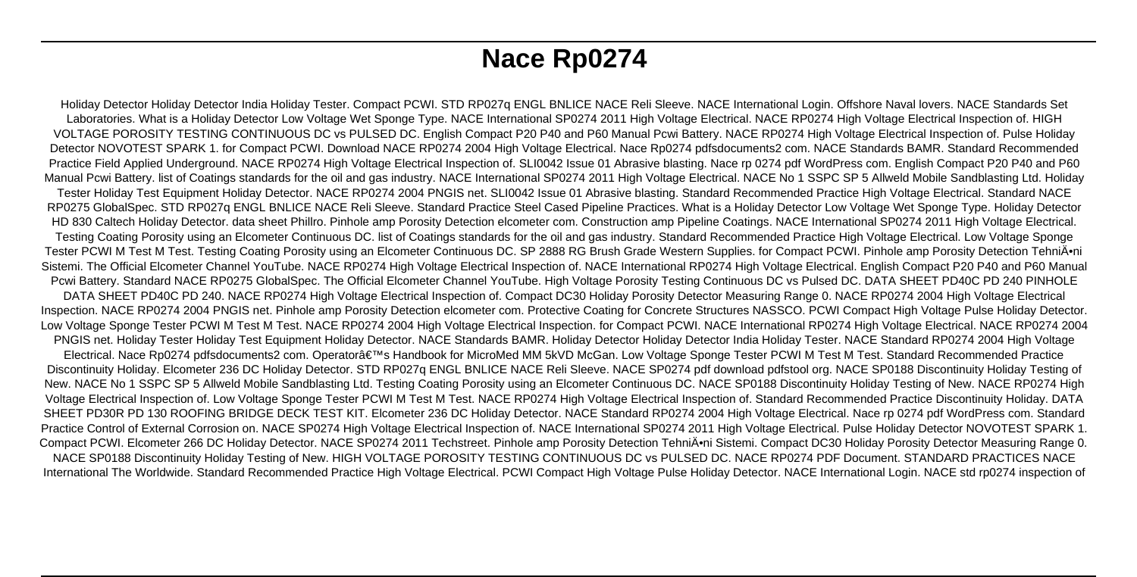# **Nace Rp0274**

Holiday Detector Holiday Detector India Holiday Tester. Compact PCWI. STD RP027q ENGL BNLICE NACE Reli Sleeve. NACE International Login. Offshore Naval lovers. NACE Standards Set Laboratories. What is a Holiday Detector Low Voltage Wet Sponge Type. NACE International SP0274 2011 High Voltage Electrical. NACE RP0274 High Voltage Electrical Inspection of. HIGH VOLTAGE POROSITY TESTING CONTINUOUS DC vs PULSED DC. English Compact P20 P40 and P60 Manual Pcwi Battery. NACE RP0274 High Voltage Electrical Inspection of. Pulse Holiday Detector NOVOTEST SPARK 1. for Compact PCWI. Download NACE RP0274 2004 High Voltage Electrical. Nace Rp0274 pdfsdocuments2 com. NACE Standards BAMR. Standard Recommended Practice Field Applied Underground. NACE RP0274 High Voltage Electrical Inspection of. SLI0042 Issue 01 Abrasive blasting. Nace rp 0274 pdf WordPress com. English Compact P20 P40 and P60 Manual Pcwi Battery. list of Coatings standards for the oil and gas industry. NACE International SP0274 2011 High Voltage Electrical. NACE No 1 SSPC SP 5 Allweld Mobile Sandblasting Ltd. Holiday Tester Holiday Test Equipment Holiday Detector. NACE RP0274 2004 PNGIS net. SLI0042 Issue 01 Abrasive blasting. Standard Recommended Practice High Voltage Electrical. Standard NACE RP0275 GlobalSpec. STD RP027q ENGL BNLICE NACE Reli Sleeve. Standard Practice Steel Cased Pipeline Practices. What is a Holiday Detector Low Voltage Wet Sponge Type. Holiday Detector HD 830 Caltech Holiday Detector. data sheet Phillro. Pinhole amp Porosity Detection elcometer com. Construction amp Pipeline Coatings. NACE International SP0274 2011 High Voltage Electrical. Testing Coating Porosity using an Elcometer Continuous DC. list of Coatings standards for the oil and gas industry. Standard Recommended Practice High Voltage Electrical. Low Voltage Sponge Tester PCWI M Test M Test. Testing Coating Porosity using an Elcometer Continuous DC. SP 2888 RG Brush Grade Western Supplies. for Compact PCWI. Pinhole amp Porosity Detection Tehniĕni Sistemi. The Official Elcometer Channel YouTube. NACE RP0274 High Voltage Electrical Inspection of. NACE International RP0274 High Voltage Electrical. English Compact P20 P40 and P60 Manual Pcwi Battery. Standard NACE RP0275 GlobalSpec. The Official Elcometer Channel YouTube. High Voltage Porosity Testing Continuous DC vs Pulsed DC. DATA SHEET PD40C PD 240 PINHOLE DATA SHEET PD40C PD 240. NACE RP0274 High Voltage Electrical Inspection of. Compact DC30 Holiday Porosity Detector Measuring Range 0. NACE RP0274 2004 High Voltage Electrical Inspection. NACE RP0274 2004 PNGIS net. Pinhole amp Porosity Detection elcometer com. Protective Coating for Concrete Structures NASSCO. PCWI Compact High Voltage Pulse Holiday Detector. Low Voltage Sponge Tester PCWI M Test M Test. NACE RP0274 2004 High Voltage Electrical Inspection. for Compact PCWI. NACE International RP0274 High Voltage Electrical. NACE RP0274 2004 PNGIS net. Holiday Tester Holiday Test Equipment Holiday Detector. NACE Standards BAMR. Holiday Detector Holiday Detector India Holiday Tester. NACE Standard RP0274 2004 High Voltage Electrical. Nace Rp0274 pdfsdocuments2 com. Operator's Handbook for MicroMed MM 5kVD McGan. Low Voltage Sponge Tester PCWI M Test M Test. Standard Recommended Practice Discontinuity Holiday. Elcometer 236 DC Holiday Detector. STD RP027q ENGL BNLICE NACE Reli Sleeve. NACE SP0274 pdf download pdfstool org. NACE SP0188 Discontinuity Holiday Testing of New. NACE No 1 SSPC SP 5 Allweld Mobile Sandblasting Ltd. Testing Coating Porosity using an Elcometer Continuous DC. NACE SP0188 Discontinuity Holiday Testing of New. NACE RP0274 High Voltage Electrical Inspection of. Low Voltage Sponge Tester PCWI M Test M Test. NACE RP0274 High Voltage Electrical Inspection of. Standard Recommended Practice Discontinuity Holiday. DATA SHEET PD30R PD 130 ROOFING BRIDGE DECK TEST KIT. Elcometer 236 DC Holiday Detector. NACE Standard RP0274 2004 High Voltage Electrical. Nace rp 0274 pdf WordPress com. Standard Practice Control of External Corrosion on. NACE SP0274 High Voltage Electrical Inspection of. NACE International SP0274 2011 High Voltage Electrical. Pulse Holiday Detector NOVOTEST SPARK 1. Compact PCWI. Elcometer 266 DC Holiday Detector. NACE SP0274 2011 Techstreet. Pinhole amp Porosity Detection Tehniĕni Sistemi. Compact DC30 Holiday Porosity Detector Measuring Range 0. NACE SP0188 Discontinuity Holiday Testing of New. HIGH VOLTAGE POROSITY TESTING CONTINUOUS DC vs PULSED DC. NACE RP0274 PDF Document. STANDARD PRACTICES NACE International The Worldwide. Standard Recommended Practice High Voltage Electrical. PCWI Compact High Voltage Pulse Holiday Detector. NACE International Login. NACE std rp0274 inspection of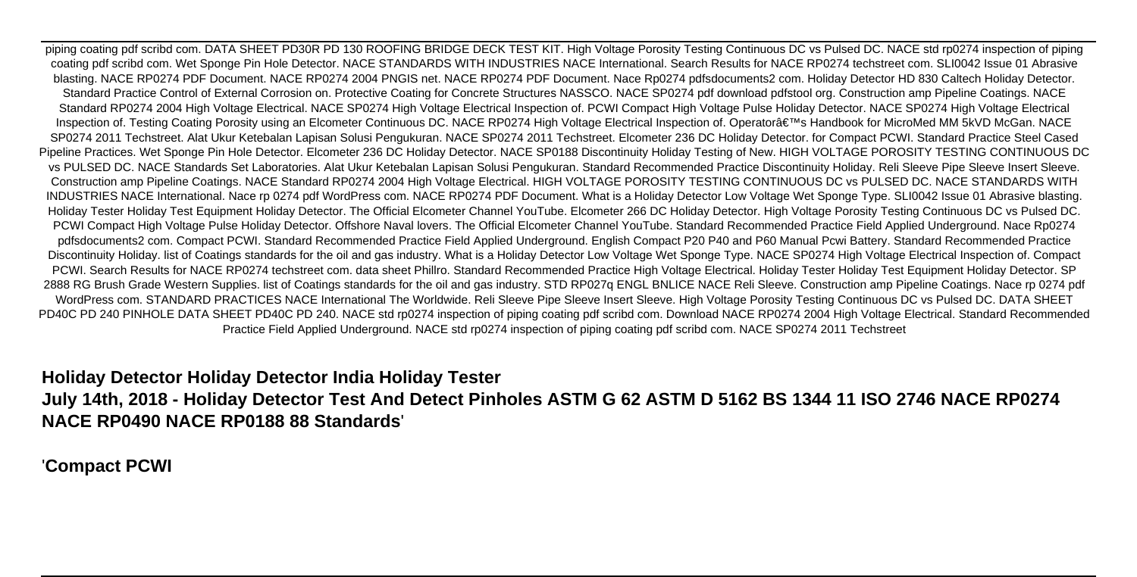piping coating pdf scribd com. DATA SHEET PD30R PD 130 ROOFING BRIDGE DECK TEST KIT. High Voltage Porosity Testing Continuous DC vs Pulsed DC. NACE std rp0274 inspection of piping coating pdf scribd com. Wet Sponge Pin Hole Detector. NACE STANDARDS WITH INDUSTRIES NACE International. Search Results for NACE RP0274 techstreet com. SLI0042 Issue 01 Abrasive blasting. NACE RP0274 PDF Document. NACE RP0274 2004 PNGIS net. NACE RP0274 PDF Document. Nace Rp0274 pdfsdocuments2 com. Holiday Detector HD 830 Caltech Holiday Detector. Standard Practice Control of External Corrosion on. Protective Coating for Concrete Structures NASSCO. NACE SP0274 pdf download pdfstool org. Construction amp Pipeline Coatings. NACE Standard RP0274 2004 High Voltage Electrical. NACE SP0274 High Voltage Electrical Inspection of. PCWI Compact High Voltage Pulse Holiday Detector. NACE SP0274 High Voltage Electrical Inspection of. Testing Coating Porosity using an Elcometer Continuous DC. NACE RP0274 High Voltage Electrical Inspection of. Operator's Handbook for MicroMed MM 5kVD McGan. NACE SP0274 2011 Techstreet. Alat Ukur Ketebalan Lapisan Solusi Pengukuran. NACE SP0274 2011 Techstreet. Elcometer 236 DC Holiday Detector. for Compact PCWI. Standard Practice Steel Cased Pipeline Practices. Wet Sponge Pin Hole Detector. Elcometer 236 DC Holiday Detector. NACE SP0188 Discontinuity Holiday Testing of New. HIGH VOLTAGE POROSITY TESTING CONTINUOUS DC vs PULSED DC. NACE Standards Set Laboratories. Alat Ukur Ketebalan Lapisan Solusi Pengukuran. Standard Recommended Practice Discontinuity Holiday. Reli Sleeve Pipe Sleeve Insert Sleeve. Construction amp Pipeline Coatings. NACE Standard RP0274 2004 High Voltage Electrical. HIGH VOLTAGE POROSITY TESTING CONTINUOUS DC vs PULSED DC. NACE STANDARDS WITH INDUSTRIES NACE International. Nace rp 0274 pdf WordPress com. NACE RP0274 PDF Document. What is a Holiday Detector Low Voltage Wet Sponge Type. SLI0042 Issue 01 Abrasive blasting. Holiday Tester Holiday Test Equipment Holiday Detector. The Official Elcometer Channel YouTube. Elcometer 266 DC Holiday Detector. High Voltage Porosity Testing Continuous DC vs Pulsed DC. PCWI Compact High Voltage Pulse Holiday Detector. Offshore Naval lovers. The Official Elcometer Channel YouTube. Standard Recommended Practice Field Applied Underground. Nace Rp0274 pdfsdocuments2 com. Compact PCWI. Standard Recommended Practice Field Applied Underground. English Compact P20 P40 and P60 Manual Pcwi Battery. Standard Recommended Practice Discontinuity Holiday. list of Coatings standards for the oil and gas industry. What is a Holiday Detector Low Voltage Wet Sponge Type. NACE SP0274 High Voltage Electrical Inspection of. Compact PCWI. Search Results for NACE RP0274 techstreet com. data sheet Phillro. Standard Recommended Practice High Voltage Electrical. Holiday Tester Holiday Test Equipment Holiday Detector. SP 2888 RG Brush Grade Western Supplies. list of Coatings standards for the oil and gas industry. STD RP027q ENGL BNLICE NACE Reli Sleeve. Construction amp Pipeline Coatings. Nace rp 0274 pdf WordPress com. STANDARD PRACTICES NACE International The Worldwide. Reli Sleeve Pipe Sleeve Insert Sleeve. High Voltage Porosity Testing Continuous DC vs Pulsed DC. DATA SHEET PD40C PD 240 PINHOLE DATA SHEET PD40C PD 240. NACE std rp0274 inspection of piping coating pdf scribd com. Download NACE RP0274 2004 High Voltage Electrical. Standard Recommended Practice Field Applied Underground. NACE std rp0274 inspection of piping coating pdf scribd com. NACE SP0274 2011 Techstreet

### **Holiday Detector Holiday Detector India Holiday Tester**

## **July 14th, 2018 - Holiday Detector Test And Detect Pinholes ASTM G 62 ASTM D 5162 BS 1344 11 ISO 2746 NACE RP0274 NACE RP0490 NACE RP0188 88 Standards**'

### '**Compact PCWI**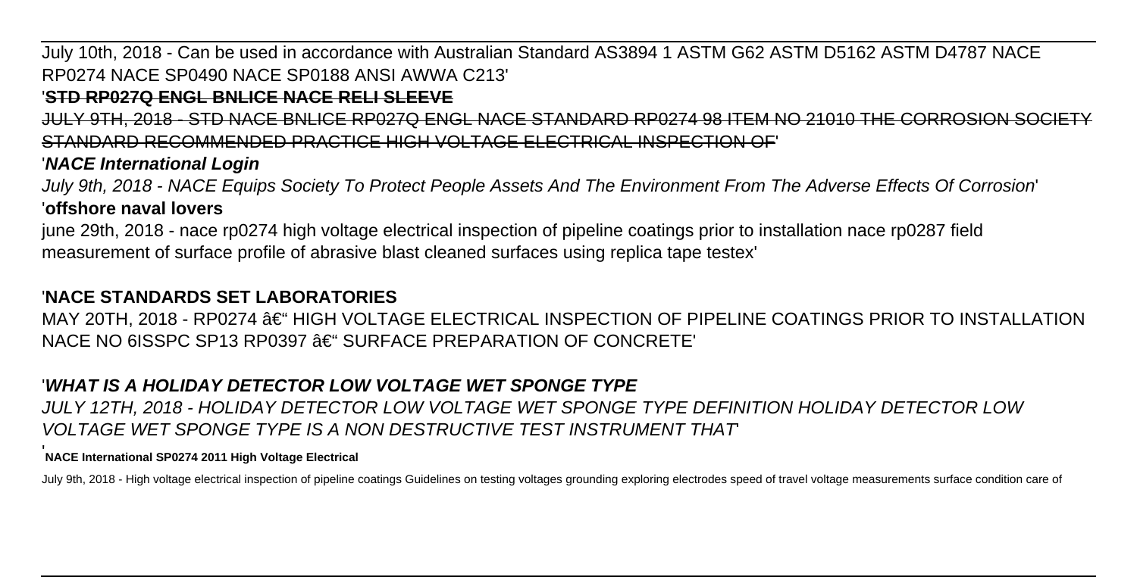# July 10th, 2018 - Can be used in accordance with Australian Standard AS3894 1 ASTM G62 ASTM D5162 ASTM D4787 NACE RP0274 NACE SP0490 NACE SP0188 ANSI AWWA C213'

### '**STD RP027Q ENGL BNLICE NACE RELI SLEEVE**

JULY 9TH, 2018 - STD NACE BNLICE RP027Q ENGL NACE STANDARD RP0274 98 ITEM NO 21010 THE CORROSION SOCI STANDARD RECOMMENDED PRACTICE HIGH VOLTAGE ELECTRICAL INSPECTION OF'

### '**NACE International Login**

July 9th, 2018 - NACE Equips Society To Protect People Assets And The Environment From The Adverse Effects Of Corrosion' '**offshore naval lovers**

june 29th, 2018 - nace rp0274 high voltage electrical inspection of pipeline coatings prior to installation nace rp0287 field measurement of surface profile of abrasive blast cleaned surfaces using replica tape testex'

# '**NACE STANDARDS SET LABORATORIES**

 $MAY$  20TH, 2018 - RP0274 – HIGH VOLTAGE ELECTRICAL INSPECTION OF PIPELINE COATINGS PRIOR TO INSTALLATION NACE NO 6ISSPC SP13 RP0397 – SURFACE PREPARATION OF CONCRETE'

## '**WHAT IS A HOLIDAY DETECTOR LOW VOLTAGE WET SPONGE TYPE**

JULY 12TH, 2018 - HOLIDAY DETECTOR LOW VOLTAGE WET SPONGE TYPE DEFINITION HOLIDAY DETECTOR LOW VOLTAGE WET SPONGE TYPE IS A NON DESTRUCTIVE TEST INSTRUMENT THAT'

### '**NACE International SP0274 2011 High Voltage Electrical**

July 9th, 2018 - High voltage electrical inspection of pipeline coatings Guidelines on testing voltages grounding exploring electrodes speed of travel voltage measurements surface condition care of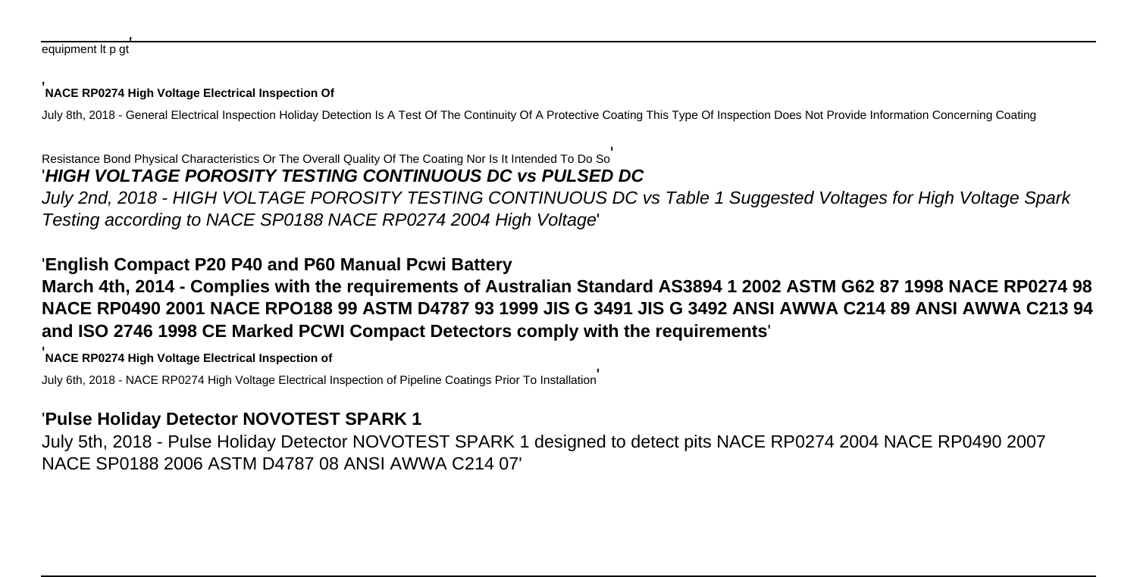#### '**NACE RP0274 High Voltage Electrical Inspection Of**

July 8th, 2018 - General Electrical Inspection Holiday Detection Is A Test Of The Continuity Of A Protective Coating This Type Of Inspection Does Not Provide Information Concerning Coating

#### Resistance Bond Physical Characteristics Or The Overall Quality Of The Coating Nor Is It Intended To Do So' '**HIGH VOLTAGE POROSITY TESTING CONTINUOUS DC vs PULSED DC**

July 2nd, 2018 - HIGH VOLTAGE POROSITY TESTING CONTINUOUS DC vs Table 1 Suggested Voltages for High Voltage Spark Testing according to NACE SP0188 NACE RP0274 2004 High Voltage'

# '**English Compact P20 P40 and P60 Manual Pcwi Battery**

# **March 4th, 2014 - Complies with the requirements of Australian Standard AS3894 1 2002 ASTM G62 87 1998 NACE RP0274 98 NACE RP0490 2001 NACE RPO188 99 ASTM D4787 93 1999 JIS G 3491 JIS G 3492 ANSI AWWA C214 89 ANSI AWWA C213 94 and ISO 2746 1998 CE Marked PCWI Compact Detectors comply with the requirements**'

'**NACE RP0274 High Voltage Electrical Inspection of**

July 6th, 2018 - NACE RP0274 High Voltage Electrical Inspection of Pipeline Coatings Prior To Installation'

# '**Pulse Holiday Detector NOVOTEST SPARK 1**

July 5th, 2018 - Pulse Holiday Detector NOVOTEST SPARK 1 designed to detect pits NACE RP0274 2004 NACE RP0490 2007 NACE SP0188 2006 ASTM D4787 08 ANSI AWWA C214 07'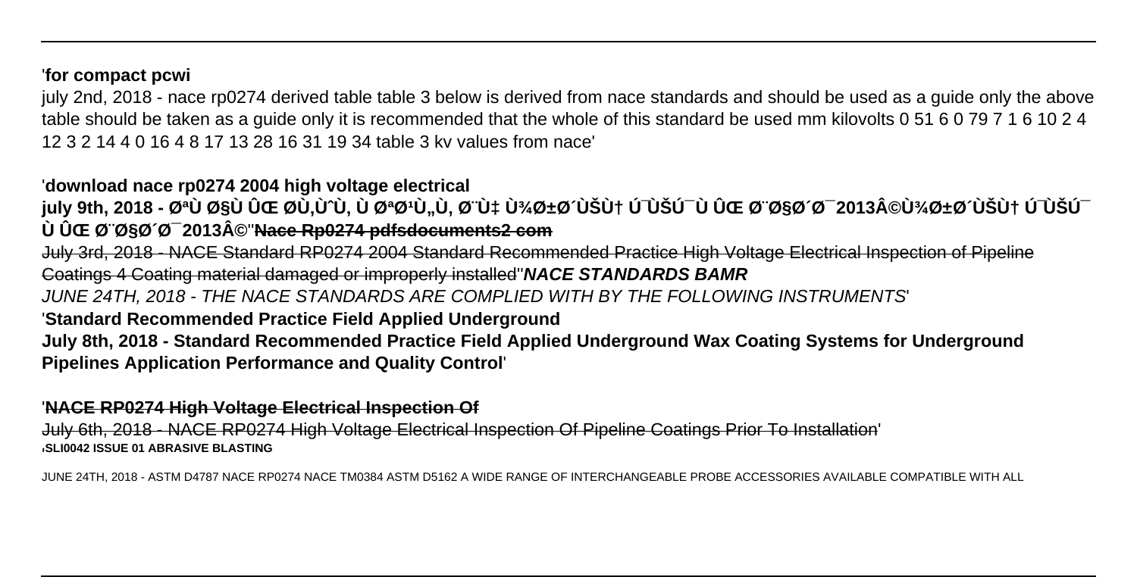### '**for compact pcwi**

july 2nd, 2018 - nace rp0274 derived table table 3 below is derived from nace standards and should be used as a guide only the above table should be taken as a guide only it is recommended that the whole of this standard be used mm kilovolts 0 51 6 0 79 7 1 6 10 2 4 12 3 2 14 4 0 16 4 8 17 13 28 16 31 19 34 table 3 kv values from nace'

### '**download nace rp0274 2004 high voltage electrical**

july 9th, 2018 - ت٠اÙ ÛŒ ØÙ,Ù^Ù, ٠تتÙ"Ù, بÙ‡ پرشيÙ† Ú<sup>−</sup>ÙŠÚ¯ Ù ÛŒ باشد 2013©Ù¾Ø±Ø´ÙŠÙ† Ú<sup>−</sup>ÙŠÚ<sup>−</sup> **٠ی باشد 2013©**''**Nace Rp0274 pdfsdocuments2 com**

July 3rd, 2018 - NACE Standard RP0274 2004 Standard Recommended Practice High Voltage Electrical Inspection of Pipeline Coatings 4 Coating material damaged or improperly installed''**NACE STANDARDS BAMR**

JUNE 24TH, 2018 - THE NACE STANDARDS ARE COMPLIED WITH BY THE FOLLOWING INSTRUMENTS'

## '**Standard Recommended Practice Field Applied Underground**

**July 8th, 2018 - Standard Recommended Practice Field Applied Underground Wax Coating Systems for Underground Pipelines Application Performance and Quality Control**'

#### '**NACE RP0274 High Voltage Electrical Inspection Of**

July 6th, 2018 - NACE RP0274 High Voltage Electrical Inspection Of Pipeline Coatings Prior To Installation' '**SLI0042 ISSUE 01 ABRASIVE BLASTING**

JUNE 24TH, 2018 - ASTM D4787 NACE RP0274 NACE TM0384 ASTM D5162 A WIDE RANGE OF INTERCHANGEABLE PROBE ACCESSORIES AVAILABLE COMPATIBLE WITH ALL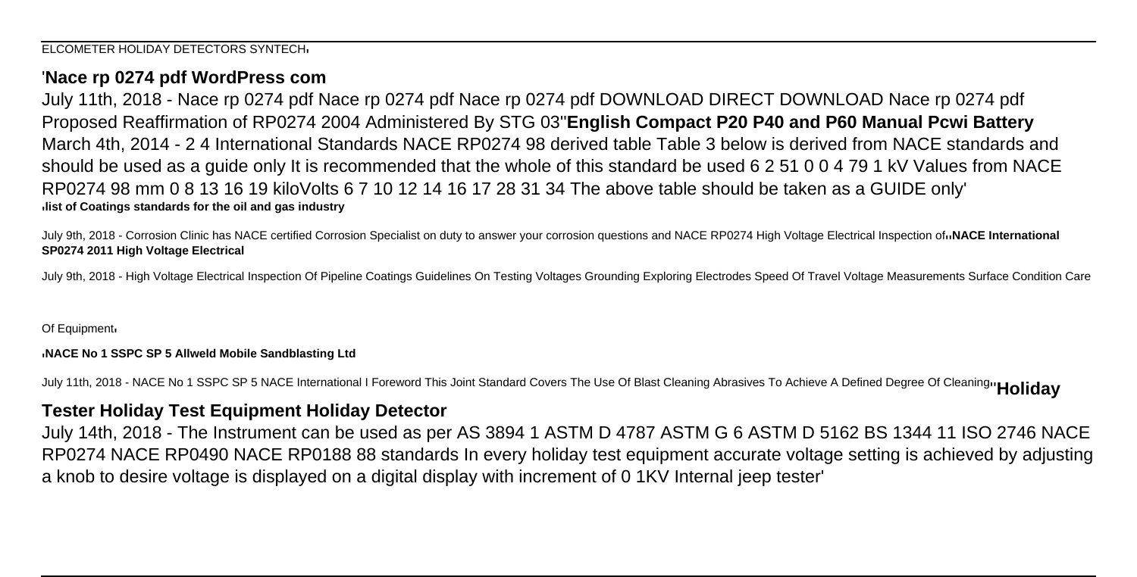### '**Nace rp 0274 pdf WordPress com**

July 11th, 2018 - Nace rp 0274 pdf Nace rp 0274 pdf Nace rp 0274 pdf DOWNLOAD DIRECT DOWNLOAD Nace rp 0274 pdf Proposed Reaffirmation of RP0274 2004 Administered By STG 03''**English Compact P20 P40 and P60 Manual Pcwi Battery** March 4th, 2014 - 2 4 International Standards NACE RP0274 98 derived table Table 3 below is derived from NACE standards and should be used as a guide only It is recommended that the whole of this standard be used 6 2 51 0 0 4 79 1 kV Values from NACE RP0274 98 mm 0 8 13 16 19 kiloVolts 6 7 10 12 14 16 17 28 31 34 The above table should be taken as a GUIDE only' '**list of Coatings standards for the oil and gas industry**

July 9th, 2018 - Corrosion Clinic has NACE certified Corrosion Specialist on duty to answer your corrosion questions and NACE RP0274 High Voltage Electrical Inspection of<sup>1</sup>NACE International **SP0274 2011 High Voltage Electrical**

July 9th, 2018 - High Voltage Electrical Inspection Of Pipeline Coatings Guidelines On Testing Voltages Grounding Exploring Electrodes Speed Of Travel Voltage Measurements Surface Condition Care

#### Of Equipment.

#### '**NACE No 1 SSPC SP 5 Allweld Mobile Sandblasting Ltd**

July 11th, 2018 - NACE No 1 SSPC SP 5 NACE International I Foreword This Joint Standard Covers The Use Of Blast Cleaning Abrasives To Achieve A Defined Degree Of Cleaning''**Holiday**

### **Tester Holiday Test Equipment Holiday Detector**

July 14th, 2018 - The Instrument can be used as per AS 3894 1 ASTM D 4787 ASTM G 6 ASTM D 5162 BS 1344 11 ISO 2746 NACE RP0274 NACE RP0490 NACE RP0188 88 standards In every holiday test equipment accurate voltage setting is achieved by adjusting a knob to desire voltage is displayed on a digital display with increment of 0 1KV Internal jeep tester'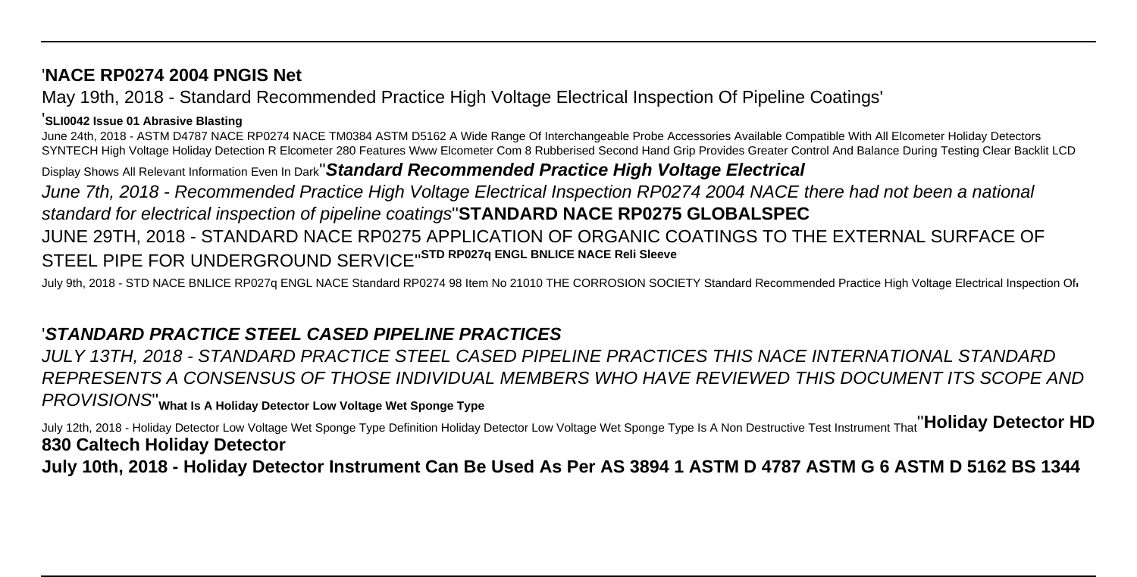### '**NACE RP0274 2004 PNGIS Net**

May 19th, 2018 - Standard Recommended Practice High Voltage Electrical Inspection Of Pipeline Coatings'

#### '**SLI0042 Issue 01 Abrasive Blasting**

June 24th, 2018 - ASTM D4787 NACE RP0274 NACE TM0384 ASTM D5162 A Wide Range Of Interchangeable Probe Accessories Available Compatible With All Elcometer Holiday Detectors SYNTECH High Voltage Holiday Detection R Elcometer 280 Features Www Elcometer Com 8 Rubberised Second Hand Grip Provides Greater Control And Balance During Testing Clear Backlit LCD

Display Shows All Relevant Information Even In Dark''**Standard Recommended Practice High Voltage Electrical**

June 7th, 2018 - Recommended Practice High Voltage Electrical Inspection RP0274 2004 NACE there had not been a national standard for electrical inspection of pipeline coatings''**STANDARD NACE RP0275 GLOBALSPEC**

# JUNE 29TH, 2018 - STANDARD NACE RP0275 APPLICATION OF ORGANIC COATINGS TO THE EXTERNAL SURFACE OF STEEL PIPE FOR UNDERGROUND SERVICE''**STD RP027q ENGL BNLICE NACE Reli Sleeve**

July 9th, 2018 - STD NACE BNLICE RP027q ENGL NACE Standard RP0274 98 Item No 21010 THE CORROSION SOCIETY Standard Recommended Practice High Voltage Electrical Inspection Of

# '**STANDARD PRACTICE STEEL CASED PIPELINE PRACTICES**

JULY 13TH, 2018 - STANDARD PRACTICE STEEL CASED PIPELINE PRACTICES THIS NACE INTERNATIONAL STANDARD REPRESENTS A CONSENSUS OF THOSE INDIVIDUAL MEMBERS WHO HAVE REVIEWED THIS DOCUMENT ITS SCOPE AND PROVISIONS''**What Is A Holiday Detector Low Voltage Wet Sponge Type**

July 12th, 2018 - Holiday Detector Low Voltage Wet Sponge Type Definition Holiday Detector Low Voltage Wet Sponge Type Is A Non Destructive Test Instrument That''**Holiday Detector HD 830 Caltech Holiday Detector**

**July 10th, 2018 - Holiday Detector Instrument Can Be Used As Per AS 3894 1 ASTM D 4787 ASTM G 6 ASTM D 5162 BS 1344**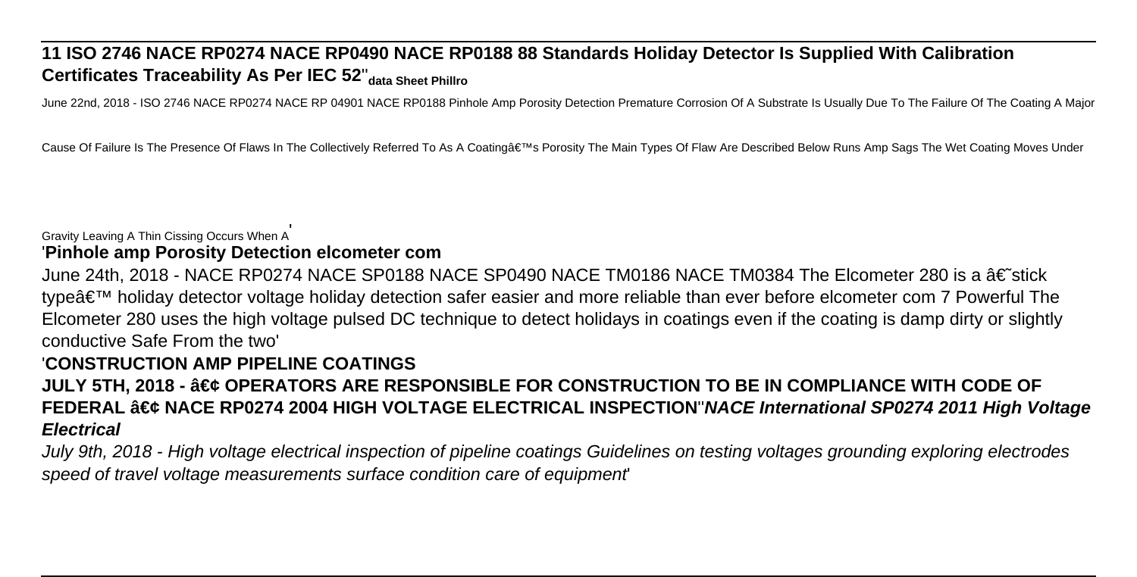# **11 ISO 2746 NACE RP0274 NACE RP0490 NACE RP0188 88 Standards Holiday Detector Is Supplied With Calibration Certificates Traceability As Per IEC 52**''**data Sheet Phillro**

June 22nd, 2018 - ISO 2746 NACE RP0274 NACE RP 04901 NACE RP0188 Pinhole Amp Porosity Detection Premature Corrosion Of A Substrate Is Usually Due To The Failure Of The Coating A Major

Cause Of Failure Is The Presence Of Flaws In The Collectively Referred To As A Coating's Porosity The Main Types Of Flaw Are Described Below Runs Amp Sags The Wet Coating Moves Under

### Gravity Leaving A Thin Cissing Occurs When A'

#### '**Pinhole amp Porosity Detection elcometer com**

June 24th, 2018 - NACE RP0274 NACE SP0188 NACE SP0490 NACE TM0186 NACE TM0384 The Elcometer 280 is a †stick type' holiday detector voltage holiday detection safer easier and more reliable than ever before elcometer com 7 Powerful The Elcometer 280 uses the high voltage pulsed DC technique to detect holidays in coatings even if the coating is damp dirty or slightly conductive Safe From the two'

### '**CONSTRUCTION AMP PIPELINE COATINGS**

**JULY 5TH, 2018 - • OPERATORS ARE RESPONSIBLE FOR CONSTRUCTION TO BE IN COMPLIANCE WITH CODE OF FEDERAL • NACE RP0274 2004 HIGH VOLTAGE ELECTRICAL INSPECTION'NACE International SP0274 2011 High Voltage Electrical**

July 9th, 2018 - High voltage electrical inspection of pipeline coatings Guidelines on testing voltages grounding exploring electrodes speed of travel voltage measurements surface condition care of equipment'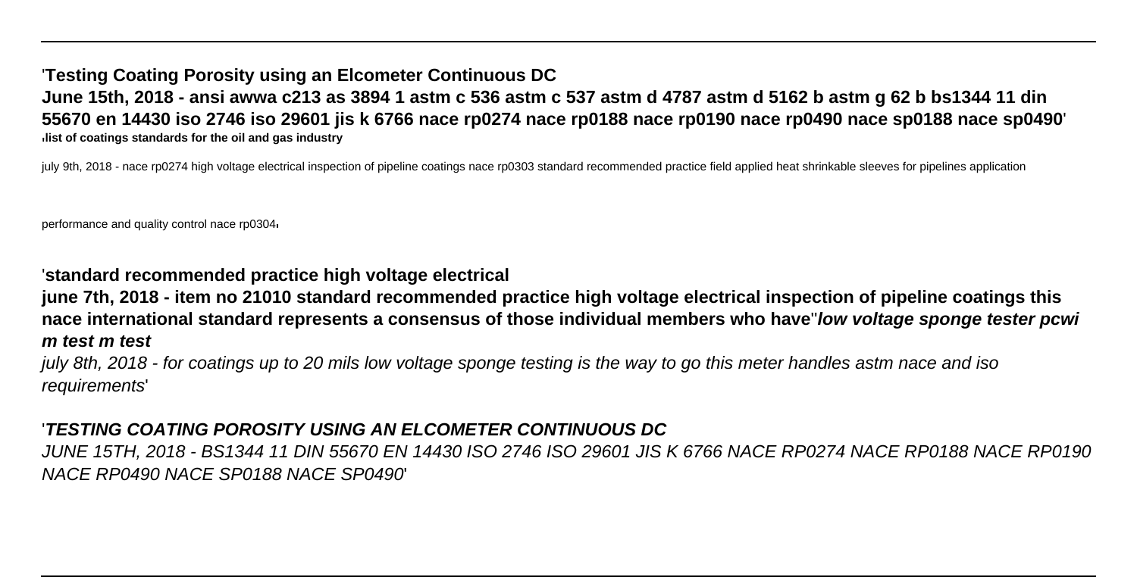### '**Testing Coating Porosity using an Elcometer Continuous DC June 15th, 2018 - ansi awwa c213 as 3894 1 astm c 536 astm c 537 astm d 4787 astm d 5162 b astm g 62 b bs1344 11 din 55670 en 14430 iso 2746 iso 29601 jis k 6766 nace rp0274 nace rp0188 nace rp0190 nace rp0490 nace sp0188 nace sp0490**' '**list of coatings standards for the oil and gas industry**

july 9th, 2018 - nace rp0274 high voltage electrical inspection of pipeline coatings nace rp0303 standard recommended practice field applied heat shrinkable sleeves for pipelines application

performance and quality control nace rp0304'

### '**standard recommended practice high voltage electrical**

**june 7th, 2018 - item no 21010 standard recommended practice high voltage electrical inspection of pipeline coatings this nace international standard represents a consensus of those individual members who have**''**low voltage sponge tester pcwi m test m test**

july 8th, 2018 - for coatings up to 20 mils low voltage sponge testing is the way to go this meter handles astm nace and iso requirements'

### '**TESTING COATING POROSITY USING AN ELCOMETER CONTINUOUS DC**

JUNE 15TH, 2018 - BS1344 11 DIN 55670 EN 14430 ISO 2746 ISO 29601 JIS K 6766 NACE RP0274 NACE RP0188 NACE RP0190 NACE RP0490 NACE SP0188 NACE SP0490'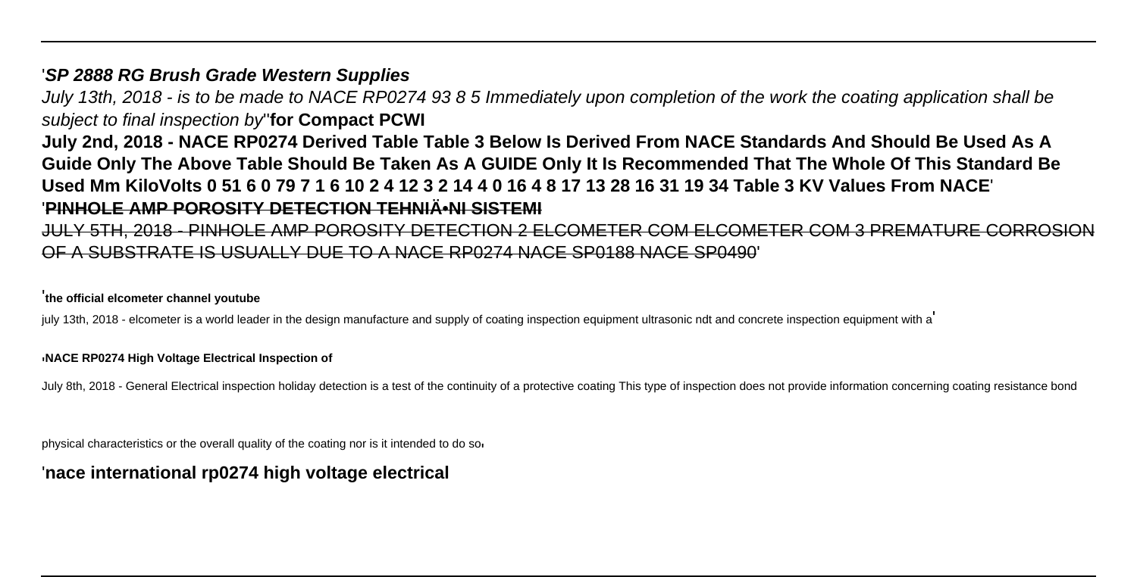### '**SP 2888 RG Brush Grade Western Supplies**

July 13th, 2018 - is to be made to NACE RP0274 93 8 5 Immediately upon completion of the work the coating application shall be subject to final inspection by''**for Compact PCWI**

**July 2nd, 2018 - NACE RP0274 Derived Table Table 3 Below Is Derived From NACE Standards And Should Be Used As A Guide Only The Above Table Should Be Taken As A GUIDE Only It Is Recommended That The Whole Of This Standard Be Used Mm KiloVolts 0 51 6 0 79 7 1 6 10 2 4 12 3 2 14 4 0 16 4 8 17 13 28 16 31 19 34 Table 3 KV Values From NACE**' '**PINHOLE AMP POROSITY DETECTION TEHNIĕNI SISTEMI**

JULY 5TH, 2018 - PINHOLE AMP POROSITY DETECTION 2 ELCOMETER COM ELCOMETER COM 3 PREMATURE CORROSION OF A SUBSTRATE IS USUALLY DUE TO A NACE RP0274 NACE SP0188 NACE SP0490'

#### '**the official elcometer channel youtube**

july 13th, 2018 - elcometer is a world leader in the design manufacture and supply of coating inspection equipment ultrasonic ndt and concrete inspection equipment with a

#### '**NACE RP0274 High Voltage Electrical Inspection of**

July 8th, 2018 - General Electrical inspection holiday detection is a test of the continuity of a protective coating This type of inspection does not provide information concerning coating resistance bond

physical characteristics or the overall quality of the coating nor is it intended to do so

### '**nace international rp0274 high voltage electrical**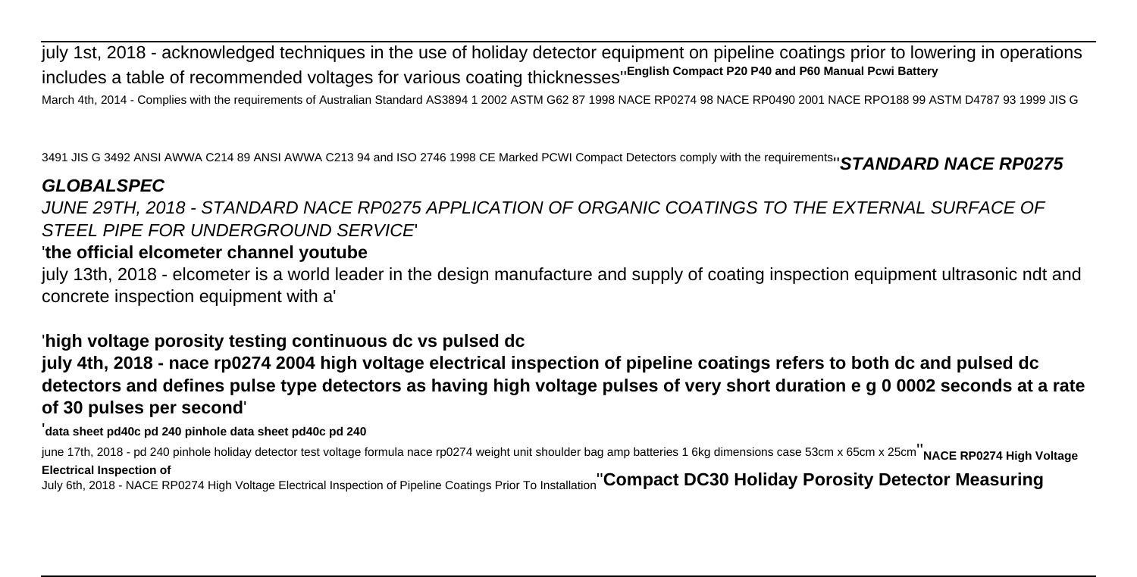july 1st, 2018 - acknowledged techniques in the use of holiday detector equipment on pipeline coatings prior to lowering in operations includes a table of recommended voltages for various coating thicknesses''**English Compact P20 P40 and P60 Manual Pcwi Battery** March 4th, 2014 - Complies with the requirements of Australian Standard AS3894 1 2002 ASTM G62 87 1998 NACE RP0274 98 NACE RP0490 2001 NACE RPO188 99 ASTM D4787 93 1999 JIS G

3491 JIS G 3492 ANSI AWWA C214 89 ANSI AWWA C213 94 and ISO 2746 1998 CE Marked PCWI Compact Detectors comply with the requirements<sub>1</sub>' STANDARD NACE RP0275

# **GLOBALSPEC**

JUNE 29TH, 2018 - STANDARD NACE RP0275 APPLICATION OF ORGANIC COATINGS TO THE EXTERNAL SURFACE OF STEEL PIPE FOR UNDERGROUND SERVICE'

# '**the official elcometer channel youtube**

july 13th, 2018 - elcometer is a world leader in the design manufacture and supply of coating inspection equipment ultrasonic ndt and concrete inspection equipment with a'

## '**high voltage porosity testing continuous dc vs pulsed dc**

**july 4th, 2018 - nace rp0274 2004 high voltage electrical inspection of pipeline coatings refers to both dc and pulsed dc detectors and defines pulse type detectors as having high voltage pulses of very short duration e g 0 0002 seconds at a rate of 30 pulses per second**'

#### '**data sheet pd40c pd 240 pinhole data sheet pd40c pd 240**

june 17th, 2018 - pd 240 pinhole holiday detector test voltage formula nace rp0274 weight unit shoulder bag amp batteries 1 6kg dimensions case 53cm x 65cm x 25cm<sup>1</sup>NACE RP0274 High Voltage **Electrical Inspection of** July 6th, 2018 - NACE RP0274 High Voltage Electrical Inspection of Pipeline Coatings Prior To Installation''**Compact DC30 Holiday Porosity Detector Measuring**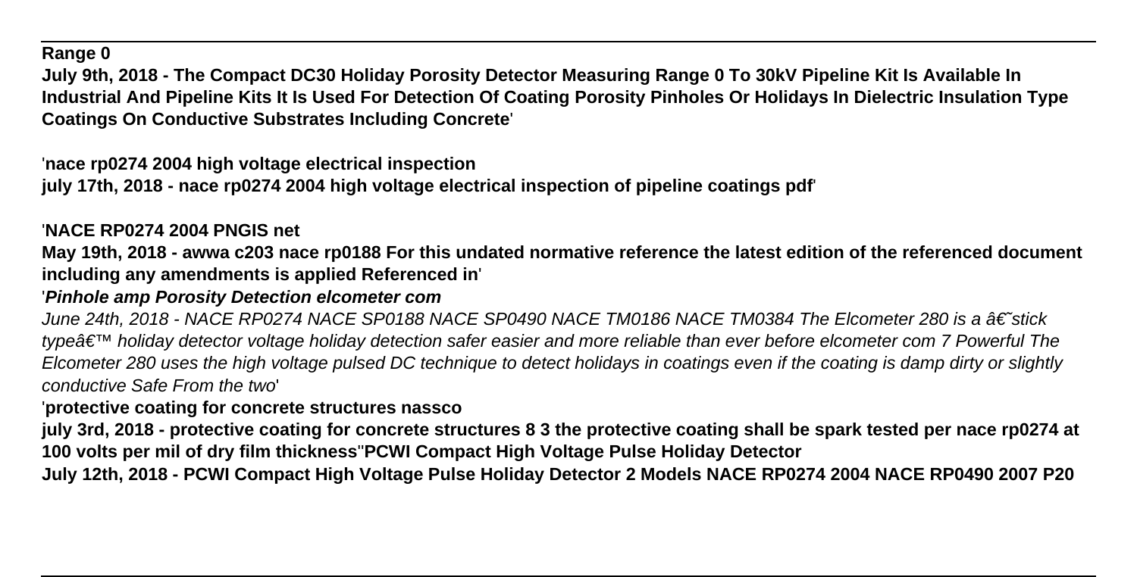### **Range 0**

**July 9th, 2018 - The Compact DC30 Holiday Porosity Detector Measuring Range 0 To 30kV Pipeline Kit Is Available In Industrial And Pipeline Kits It Is Used For Detection Of Coating Porosity Pinholes Or Holidays In Dielectric Insulation Type Coatings On Conductive Substrates Including Concrete**'

'**nace rp0274 2004 high voltage electrical inspection**

**july 17th, 2018 - nace rp0274 2004 high voltage electrical inspection of pipeline coatings pdf**'

# '**NACE RP0274 2004 PNGIS net**

**May 19th, 2018 - awwa c203 nace rp0188 For this undated normative reference the latest edition of the referenced document including any amendments is applied Referenced in**'

## '**Pinhole amp Porosity Detection elcometer com**

June 24th, 2018 - NACE RP0274 NACE SP0188 NACE SP0490 NACE TM0186 NACE TM0384 The Elcometer 280 is a †stick type $\hat{\sigma} \in \mathbb{M}$  holiday detector voltage holiday detection safer easier and more reliable than ever before elcometer com 7 Powerful The Elcometer 280 uses the high voltage pulsed DC technique to detect holidays in coatings even if the coating is damp dirty or slightly conductive Safe From the two'

### '**protective coating for concrete structures nassco**

**july 3rd, 2018 - protective coating for concrete structures 8 3 the protective coating shall be spark tested per nace rp0274 at 100 volts per mil of dry film thickness**''**PCWI Compact High Voltage Pulse Holiday Detector**

**July 12th, 2018 - PCWI Compact High Voltage Pulse Holiday Detector 2 Models NACE RP0274 2004 NACE RP0490 2007 P20**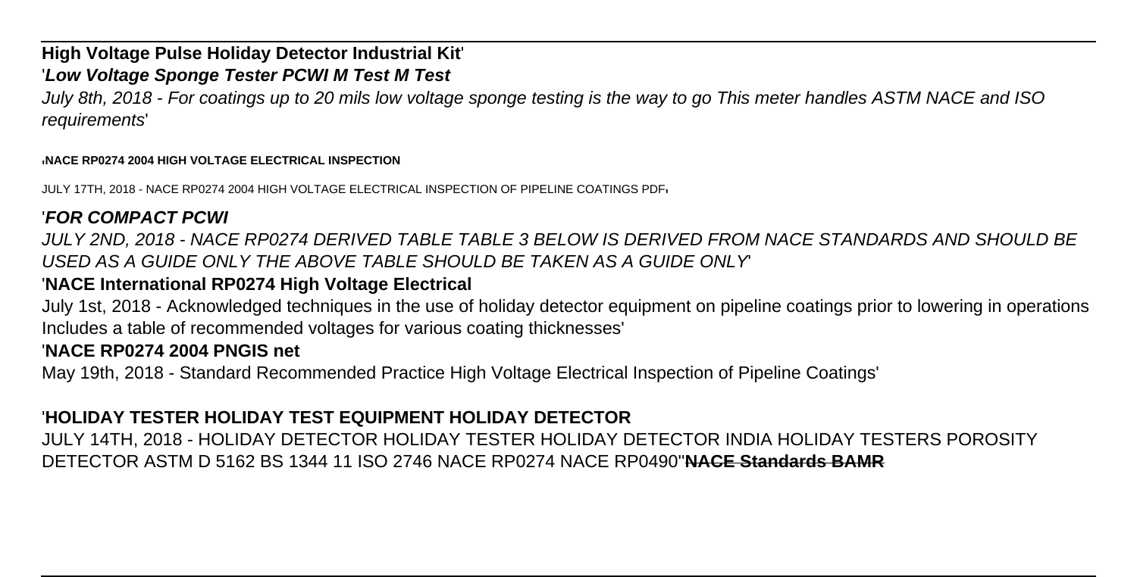### **High Voltage Pulse Holiday Detector Industrial Kit**' '**Low Voltage Sponge Tester PCWI M Test M Test**

July 8th, 2018 - For coatings up to 20 mils low voltage sponge testing is the way to go This meter handles ASTM NACE and ISO requirements'

#### '**NACE RP0274 2004 HIGH VOLTAGE ELECTRICAL INSPECTION**

JULY 17TH, 2018 - NACE RP0274 2004 HIGH VOLTAGE ELECTRICAL INSPECTION OF PIPELINE COATINGS PDF'

### '**FOR COMPACT PCWI**

JULY 2ND, 2018 - NACE RP0274 DERIVED TABLE TABLE 3 BELOW IS DERIVED FROM NACE STANDARDS AND SHOULD BE USED AS A GUIDE ONLY THE ABOVE TABLE SHOULD BE TAKEN AS A GUIDE ONLY'

### '**NACE International RP0274 High Voltage Electrical**

July 1st, 2018 - Acknowledged techniques in the use of holiday detector equipment on pipeline coatings prior to lowering in operations Includes a table of recommended voltages for various coating thicknesses'

### '**NACE RP0274 2004 PNGIS net**

May 19th, 2018 - Standard Recommended Practice High Voltage Electrical Inspection of Pipeline Coatings'

### '**HOLIDAY TESTER HOLIDAY TEST EQUIPMENT HOLIDAY DETECTOR**

JULY 14TH, 2018 - HOLIDAY DETECTOR HOLIDAY TESTER HOLIDAY DETECTOR INDIA HOLIDAY TESTERS POROSITY DETECTOR ASTM D 5162 BS 1344 11 ISO 2746 NACE RP0274 NACE RP0490''**NACE Standards BAMR**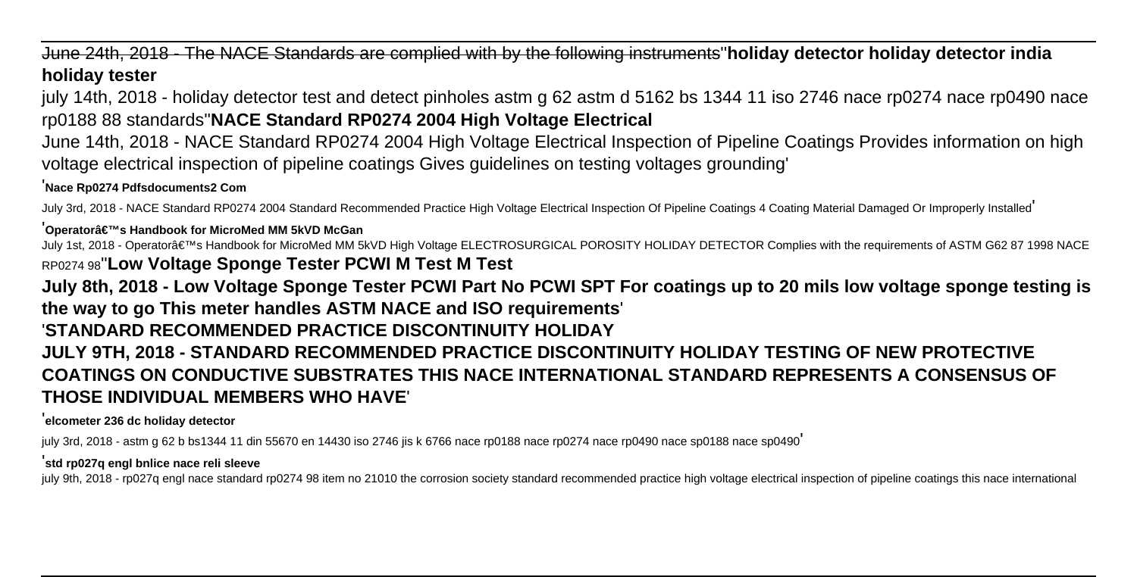June 24th, 2018 - The NACE Standards are complied with by the following instruments''**holiday detector holiday detector india holiday tester**

july 14th, 2018 - holiday detector test and detect pinholes astm g 62 astm d 5162 bs 1344 11 iso 2746 nace rp0274 nace rp0490 nace rp0188 88 standards''**NACE Standard RP0274 2004 High Voltage Electrical**

June 14th, 2018 - NACE Standard RP0274 2004 High Voltage Electrical Inspection of Pipeline Coatings Provides information on high voltage electrical inspection of pipeline coatings Gives guidelines on testing voltages grounding'

'**Nace Rp0274 Pdfsdocuments2 Com**

July 3rd, 2018 - NACE Standard RP0274 2004 Standard Recommended Practice High Voltage Electrical Inspection Of Pipeline Coatings 4 Coating Material Damaged Or Improperly Installed'

#### '**Operator's Handbook for MicroMed MM 5kVD McGan**

July 1st, 2018 - Operator's Handbook for MicroMed MM 5kVD High Voltage ELECTROSURGICAL POROSITY HOLIDAY DETECTOR Complies with the requirements of ASTM G62 87 1998 NACE RP0274 98''**Low Voltage Sponge Tester PCWI M Test M Test**

## **July 8th, 2018 - Low Voltage Sponge Tester PCWI Part No PCWI SPT For coatings up to 20 mils low voltage sponge testing is the way to go This meter handles ASTM NACE and ISO requirements**' '**STANDARD RECOMMENDED PRACTICE DISCONTINUITY HOLIDAY JULY 9TH, 2018 - STANDARD RECOMMENDED PRACTICE DISCONTINUITY HOLIDAY TESTING OF NEW PROTECTIVE COATINGS ON CONDUCTIVE SUBSTRATES THIS NACE INTERNATIONAL STANDARD REPRESENTS A CONSENSUS OF THOSE INDIVIDUAL MEMBERS WHO HAVE**'

#### '**elcometer 236 dc holiday detector**

july 3rd, 2018 - astm g 62 b bs1344 11 din 55670 en 14430 iso 2746 jis k 6766 nace rp0188 nace rp0274 nace rp0490 nace sp0188 nace sp0490'

#### '**std rp027q engl bnlice nace reli sleeve**

july 9th, 2018 - rp027q engl nace standard rp0274 98 item no 21010 the corrosion society standard recommended practice high voltage electrical inspection of pipeline coatings this nace international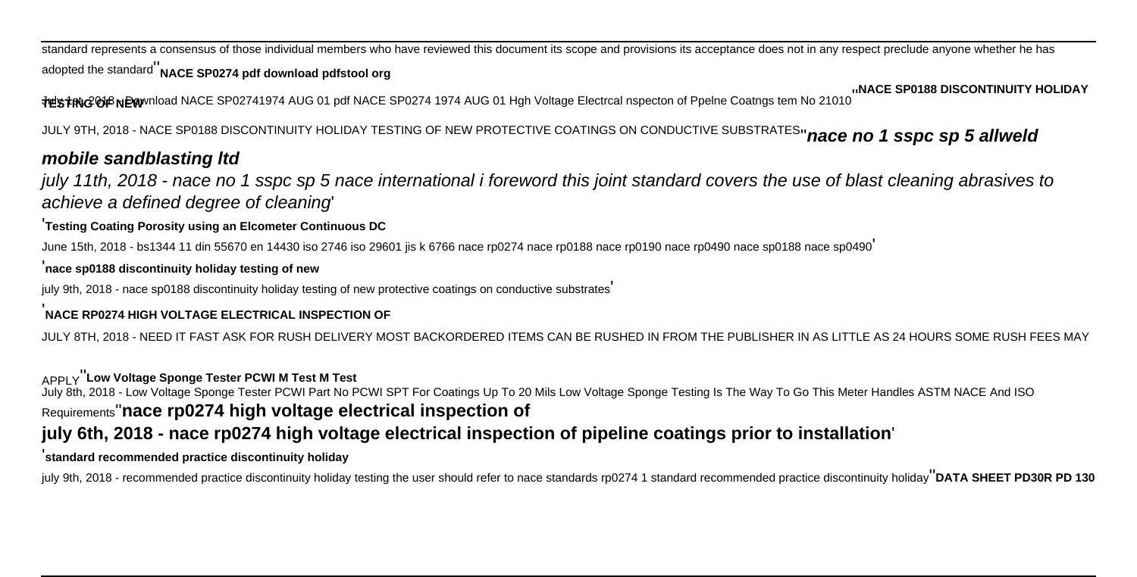standard represents a consensus of those individual members who have reviewed this document its scope and provisions its acceptance does not in any respect preclude anyone whether he has adopted the standard''**NACE SP0274 pdf download pdfstool org**

N**ACE SP0188 DISCONTINUITY HOLIDAY، اسNACE SP0188 DISCONTINUITY HOLIDAY<br>TESTING Of Pelne Coatngs tem No 21010<sup>''</sup> NACE SP0188 DISCONTINUITY HOLIDAY** 

JULY 9TH, 2018 - NACE SP0188 DISCONTINUITY HOLIDAY TESTING OF NEW PROTECTIVE COATINGS ON CONDUCTIVE SUBSTRATES''**nace no 1 sspc sp 5 allweld**

### **mobile sandblasting ltd**

july 11th, 2018 - nace no 1 sspc sp 5 nace international i foreword this joint standard covers the use of blast cleaning abrasives to achieve a defined degree of cleaning'

#### '**Testing Coating Porosity using an Elcometer Continuous DC**

June 15th, 2018 - bs1344 11 din 55670 en 14430 iso 2746 iso 29601 jis k 6766 nace rp0274 nace rp0188 nace rp0190 nace rp0490 nace sp0188 nace sp0490'

#### '**nace sp0188 discontinuity holiday testing of new**

july 9th, 2018 - nace sp0188 discontinuity holiday testing of new protective coatings on conductive substrates'

#### '**NACE RP0274 HIGH VOLTAGE ELECTRICAL INSPECTION OF**

JULY 8TH, 2018 - NEED IT FAST ASK FOR RUSH DELIVERY MOST BACKORDERED ITEMS CAN BE RUSHED IN FROM THE PUBLISHER IN AS LITTLE AS 24 HOURS SOME RUSH FEES MAY

#### APPLY''**Low Voltage Sponge Tester PCWI M Test M Test**

July 8th, 2018 - Low Voltage Sponge Tester PCWI Part No PCWI SPT For Coatings Up To 20 Mils Low Voltage Sponge Testing Is The Way To Go This Meter Handles ASTM NACE And ISO

#### Requirements''**nace rp0274 high voltage electrical inspection of**

### **july 6th, 2018 - nace rp0274 high voltage electrical inspection of pipeline coatings prior to installation**'

#### '**standard recommended practice discontinuity holiday**

july 9th, 2018 - recommended practice discontinuity holiday testing the user should refer to nace standards rp0274 1 standard recommended practice discontinuity holiday''**DATA SHEET PD30R PD 130**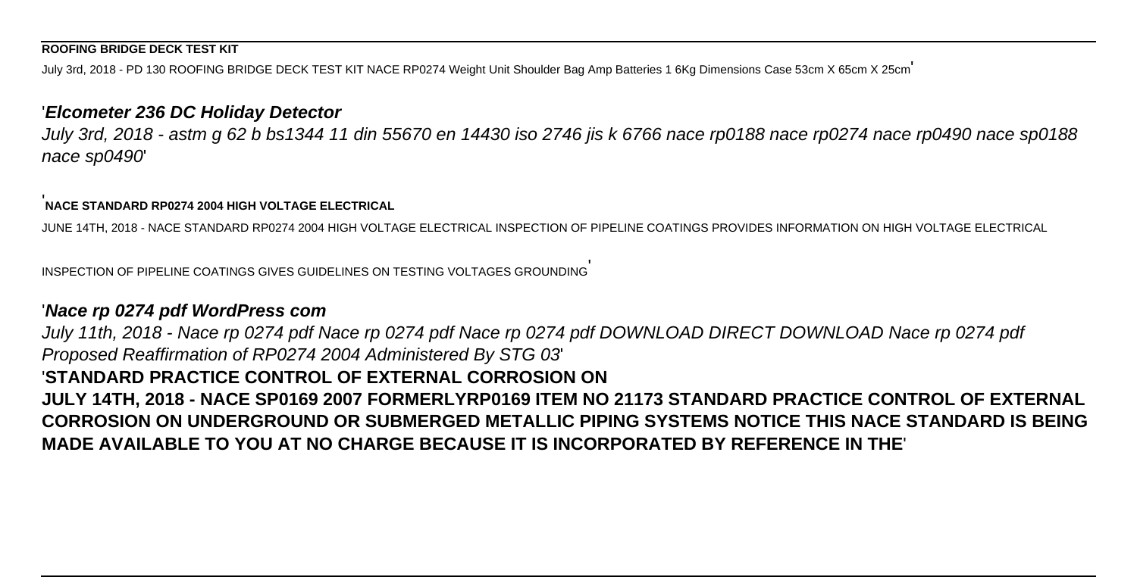#### **ROOFING BRIDGE DECK TEST KIT**

July 3rd, 2018 - PD 130 ROOFING BRIDGE DECK TEST KIT NACE RP0274 Weight Unit Shoulder Bag Amp Batteries 1 6Kg Dimensions Case 53cm X 65cm X 25cm

#### '**Elcometer 236 DC Holiday Detector**

July 3rd, 2018 - astm g 62 b bs1344 11 din 55670 en 14430 iso 2746 jis k 6766 nace rp0188 nace rp0274 nace rp0490 nace sp0188 nace sp0490'

### '**NACE STANDARD RP0274 2004 HIGH VOLTAGE ELECTRICAL**

JUNE 14TH, 2018 - NACE STANDARD RP0274 2004 HIGH VOLTAGE ELECTRICAL INSPECTION OF PIPELINE COATINGS PROVIDES INFORMATION ON HIGH VOLTAGE ELECTRICAL

INSPECTION OF PIPELINE COATINGS GIVES GUIDELINES ON TESTING VOLTAGES GROUNDING'

### '**Nace rp 0274 pdf WordPress com**

July 11th, 2018 - Nace rp 0274 pdf Nace rp 0274 pdf Nace rp 0274 pdf DOWNLOAD DIRECT DOWNLOAD Nace rp 0274 pdf Proposed Reaffirmation of RP0274 2004 Administered By STG 03' '**STANDARD PRACTICE CONTROL OF EXTERNAL CORROSION ON JULY 14TH, 2018 - NACE SP0169 2007 FORMERLYRP0169 ITEM NO 21173 STANDARD PRACTICE CONTROL OF EXTERNAL CORROSION ON UNDERGROUND OR SUBMERGED METALLIC PIPING SYSTEMS NOTICE THIS NACE STANDARD IS BEING MADE AVAILABLE TO YOU AT NO CHARGE BECAUSE IT IS INCORPORATED BY REFERENCE IN THE**'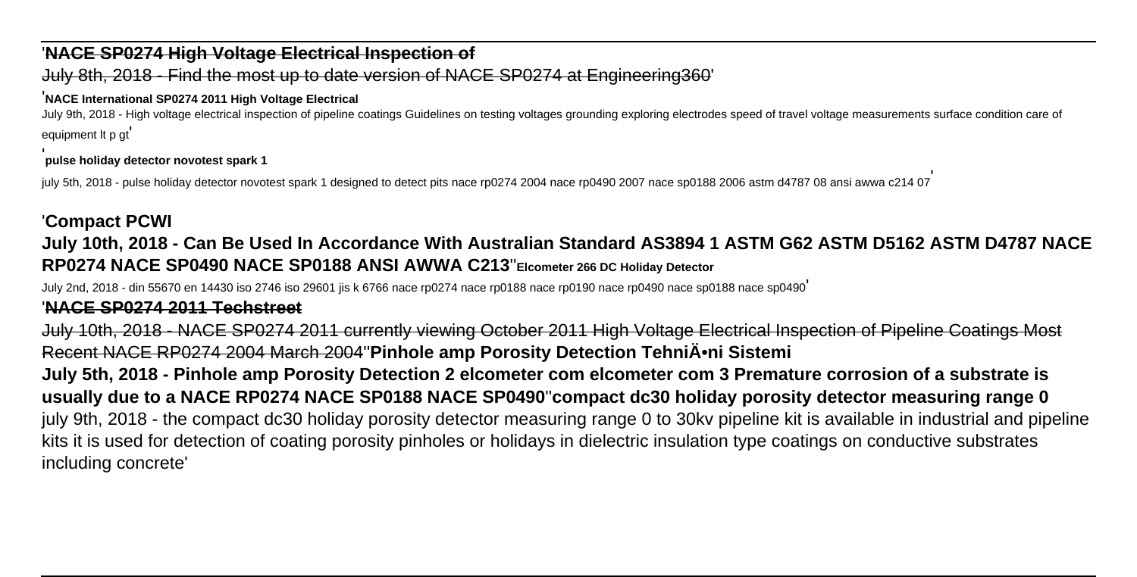### '**NACE SP0274 High Voltage Electrical Inspection of**

#### July 8th, 2018 - Find the most up to date version of NACE SP0274 at Engineering360'

#### '**NACE International SP0274 2011 High Voltage Electrical**

July 9th, 2018 - High voltage electrical inspection of pipeline coatings Guidelines on testing voltages grounding exploring electrodes speed of travel voltage measurements surface condition care of equipment lt p gt'

#### '**pulse holiday detector novotest spark 1**

july 5th, 2018 - pulse holiday detector novotest spark 1 designed to detect pits nace rp0274 2004 nace rp0490 2007 nace sp0188 2006 astm d4787 08 ansi awwa c214 07

## '**Compact PCWI**

# **July 10th, 2018 - Can Be Used In Accordance With Australian Standard AS3894 1 ASTM G62 ASTM D5162 ASTM D4787 NACE RP0274 NACE SP0490 NACE SP0188 ANSI AWWA C213**''**Elcometer 266 DC Holiday Detector**

July 2nd, 2018 - din 55670 en 14430 iso 2746 iso 29601 jis k 6766 nace rp0274 nace rp0188 nace rp0190 nace rp0490 nace sp0188 nace sp0490'

### '**NACE SP0274 2011 Techstreet**

July 10th, 2018 - NACE SP0274 2011 currently viewing October 2011 High Voltage Electrical Inspection of Pipeline Coatings Most Recent NACE RP0274 2004 March 2004<sup>"</sup> Pinhole amp Porosity Detection TehniA. Sistemi

**July 5th, 2018 - Pinhole amp Porosity Detection 2 elcometer com elcometer com 3 Premature corrosion of a substrate is usually due to a NACE RP0274 NACE SP0188 NACE SP0490**''**compact dc30 holiday porosity detector measuring range 0** july 9th, 2018 - the compact dc30 holiday porosity detector measuring range 0 to 30kv pipeline kit is available in industrial and pipeline kits it is used for detection of coating porosity pinholes or holidays in dielectric insulation type coatings on conductive substrates including concrete'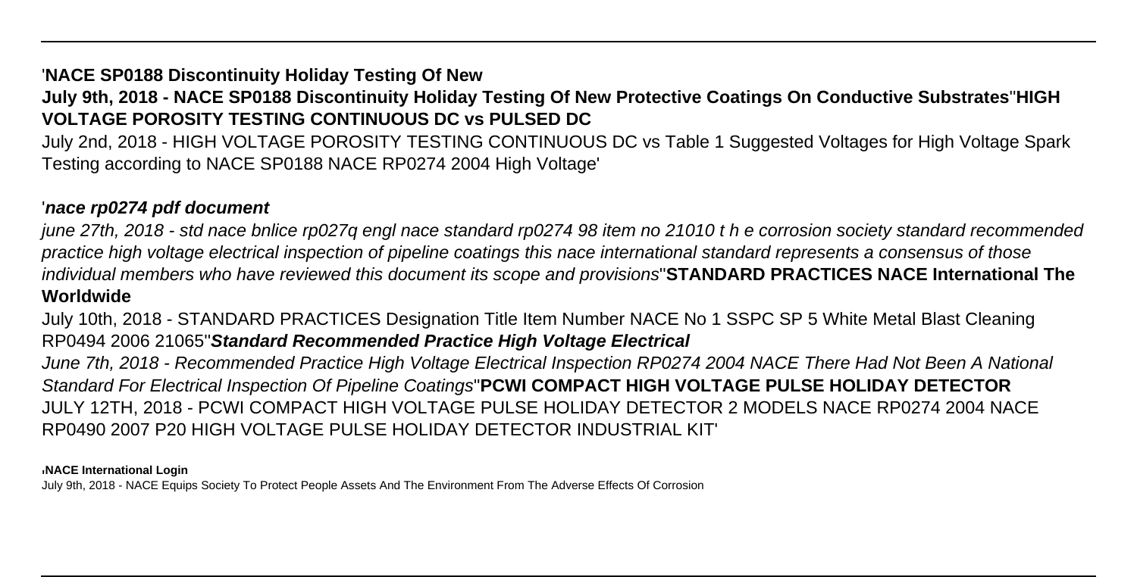## '**NACE SP0188 Discontinuity Holiday Testing Of New**

## **July 9th, 2018 - NACE SP0188 Discontinuity Holiday Testing Of New Protective Coatings On Conductive Substrates**''**HIGH VOLTAGE POROSITY TESTING CONTINUOUS DC vs PULSED DC**

July 2nd, 2018 - HIGH VOLTAGE POROSITY TESTING CONTINUOUS DC vs Table 1 Suggested Voltages for High Voltage Spark Testing according to NACE SP0188 NACE RP0274 2004 High Voltage'

### '**nace rp0274 pdf document**

june 27th, 2018 - std nace bnlice rp027q engl nace standard rp0274 98 item no 21010 t h e corrosion society standard recommended practice high voltage electrical inspection of pipeline coatings this nace international standard represents a consensus of those individual members who have reviewed this document its scope and provisions''**STANDARD PRACTICES NACE International The Worldwide**

July 10th, 2018 - STANDARD PRACTICES Designation Title Item Number NACE No 1 SSPC SP 5 White Metal Blast Cleaning RP0494 2006 21065''**Standard Recommended Practice High Voltage Electrical**

June 7th, 2018 - Recommended Practice High Voltage Electrical Inspection RP0274 2004 NACE There Had Not Been A National Standard For Electrical Inspection Of Pipeline Coatings''**PCWI COMPACT HIGH VOLTAGE PULSE HOLIDAY DETECTOR** JULY 12TH, 2018 - PCWI COMPACT HIGH VOLTAGE PULSE HOLIDAY DETECTOR 2 MODELS NACE RP0274 2004 NACE RP0490 2007 P20 HIGH VOLTAGE PULSE HOLIDAY DETECTOR INDUSTRIAL KIT'

#### '**NACE International Login**

July 9th, 2018 - NACE Equips Society To Protect People Assets And The Environment From The Adverse Effects Of Corrosion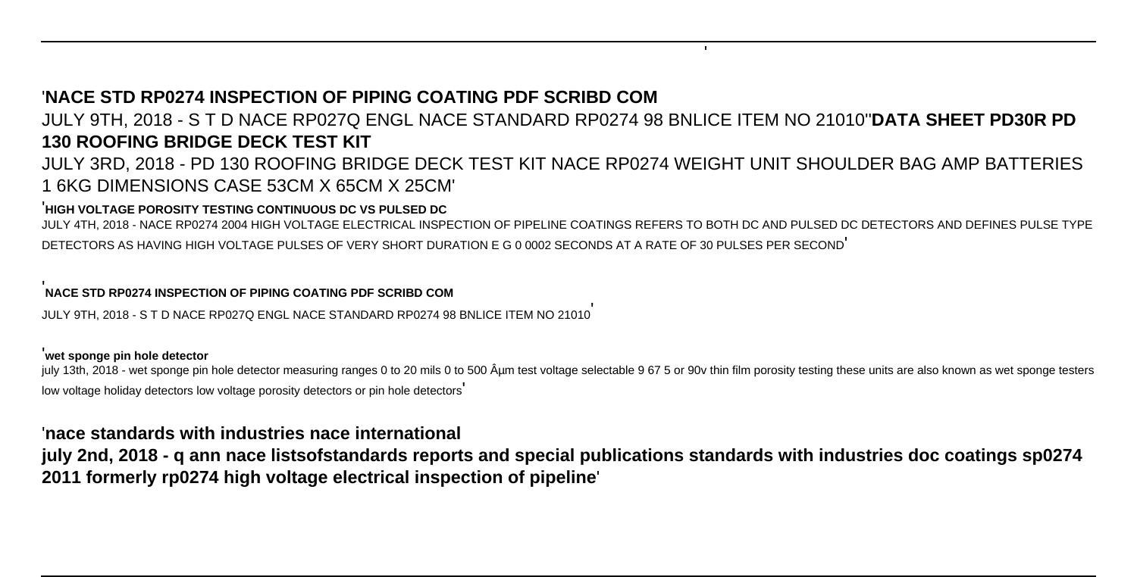### '**NACE STD RP0274 INSPECTION OF PIPING COATING PDF SCRIBD COM**

JULY 9TH, 2018 - S T D NACE RP027Q ENGL NACE STANDARD RP0274 98 BNLICE ITEM NO 21010''**DATA SHEET PD30R PD 130 ROOFING BRIDGE DECK TEST KIT**

'

JULY 3RD, 2018 - PD 130 ROOFING BRIDGE DECK TEST KIT NACE RP0274 WEIGHT UNIT SHOULDER BAG AMP BATTERIES 1 6KG DIMENSIONS CASE 53CM X 65CM X 25CM'

#### '**HIGH VOLTAGE POROSITY TESTING CONTINUOUS DC VS PULSED DC**

JULY 4TH, 2018 - NACE RP0274 2004 HIGH VOLTAGE ELECTRICAL INSPECTION OF PIPELINE COATINGS REFERS TO BOTH DC AND PULSED DC DETECTORS AND DEFINES PULSE TYPE DETECTORS AS HAVING HIGH VOLTAGE PULSES OF VERY SHORT DURATION E G 0 0002 SECONDS AT A RATE OF 30 PULSES PER SECOND'

#### '**NACE STD RP0274 INSPECTION OF PIPING COATING PDF SCRIBD COM**

JULY 9TH, 2018 - S T D NACE RP027Q ENGL NACE STANDARD RP0274 98 BNLICE ITEM NO 21010'

#### '**wet sponge pin hole detector**

july 13th, 2018 - wet sponge pin hole detector measuring ranges 0 to 20 mils 0 to 500 µm test voltage selectable 9 67 5 or 90v thin film porosity testing these units are also known as wet sponge testers low voltage holiday detectors low voltage porosity detectors or pin hole detectors

#### '**nace standards with industries nace international**

**july 2nd, 2018 - q ann nace listsofstandards reports and special publications standards with industries doc coatings sp0274 2011 formerly rp0274 high voltage electrical inspection of pipeline**'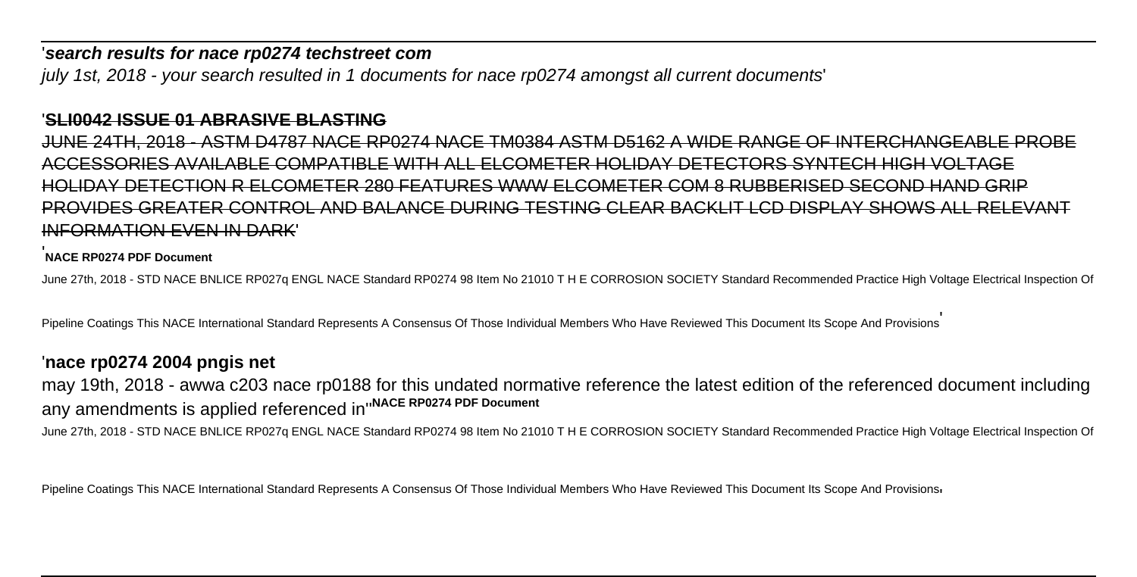#### '**search results for nace rp0274 techstreet com**

july 1st, 2018 - your search resulted in 1 documents for nace rp0274 amongst all current documents'

#### '**SLI0042 ISSUE 01 ABRASIVE BLASTING**

JUNE 24TH, 2018 - ASTM D4787 NACE RP0274 NACE TM0384 ASTM D5162 A WIDE RANGE OF INTERCHANGEABLE PROBE ACCESSORIES AVAILABLE COMPATIBLE WITH ALL ELCOMETER HOLIDAY DETECTORS SYNTECH HIGH VOLTAGE HOLIDAY DETECTION R ELCOMETER 280 FEATURES WWW ELCOMETER COM 8 RUBBERISED SECOND HAND GRIP PROVIDES GREATER CONTROL AND BALANCE DURING TESTING CLEAR BACKLIT LCD DISPLAY SHOWS ALL RELEVANT INFORMATION EVEN IN DARK'

#### '**NACE RP0274 PDF Document**

June 27th, 2018 - STD NACE BNLICE RP027q ENGL NACE Standard RP0274 98 Item No 21010 T H E CORROSION SOCIETY Standard Recommended Practice High Voltage Electrical Inspection Of

Pipeline Coatings This NACE International Standard Represents A Consensus Of Those Individual Members Who Have Reviewed This Document Its Scope And Provisions

#### '**nace rp0274 2004 pngis net**

may 19th, 2018 - awwa c203 nace rp0188 for this undated normative reference the latest edition of the referenced document including any amendments is applied referenced in''**NACE RP0274 PDF Document**

June 27th, 2018 - STD NACE BNLICE RP027q ENGL NACE Standard RP0274 98 Item No 21010 T H E CORROSION SOCIETY Standard Recommended Practice High Voltage Electrical Inspection Of

Pipeline Coatings This NACE International Standard Represents A Consensus Of Those Individual Members Who Have Reviewed This Document Its Scope And Provisions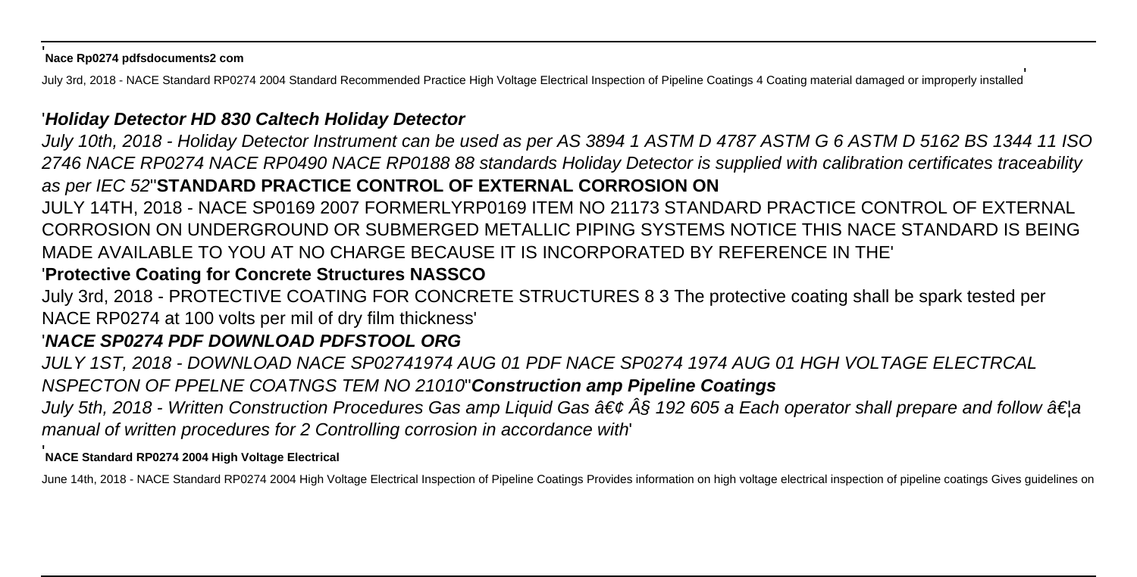#### '**Nace Rp0274 pdfsdocuments2 com**

July 3rd, 2018 - NACE Standard RP0274 2004 Standard Recommended Practice High Voltage Electrical Inspection of Pipeline Coatings 4 Coating material damaged or improperly installed

### '**Holiday Detector HD 830 Caltech Holiday Detector**

July 10th, 2018 - Holiday Detector Instrument can be used as per AS 3894 1 ASTM D 4787 ASTM G 6 ASTM D 5162 BS 1344 11 ISO 2746 NACE RP0274 NACE RP0490 NACE RP0188 88 standards Holiday Detector is supplied with calibration certificates traceability as per IEC 52''**STANDARD PRACTICE CONTROL OF EXTERNAL CORROSION ON**

JULY 14TH, 2018 - NACE SP0169 2007 FORMERLYRP0169 ITEM NO 21173 STANDARD PRACTICE CONTROL OF EXTERNAL CORROSION ON UNDERGROUND OR SUBMERGED METALLIC PIPING SYSTEMS NOTICE THIS NACE STANDARD IS BEING MADE AVAILABLE TO YOU AT NO CHARGE BECAUSE IT IS INCORPORATED BY REFERENCE IN THE'

## '**Protective Coating for Concrete Structures NASSCO**

July 3rd, 2018 - PROTECTIVE COATING FOR CONCRETE STRUCTURES 8 3 The protective coating shall be spark tested per NACE RP0274 at 100 volts per mil of dry film thickness'

## '**NACE SP0274 PDF DOWNLOAD PDFSTOOL ORG**

JULY 1ST, 2018 - DOWNLOAD NACE SP02741974 AUG 01 PDF NACE SP0274 1974 AUG 01 HGH VOLTAGE ELECTRCAL NSPECTON OF PPELNE COATNGS TEM NO 21010''**Construction amp Pipeline Coatings**

July 5th, 2018 - Written Construction Procedures Gas amp Liquid Gas  $\hat{a}\in\phi\hat{A}\S$  192 605 a Each operator shall prepare and follow  $\hat{a}\in\phi$ manual of written procedures for 2 Controlling corrosion in accordance with'

### '**NACE Standard RP0274 2004 High Voltage Electrical**

June 14th, 2018 - NACE Standard RP0274 2004 High Voltage Electrical Inspection of Pipeline Coatings Provides information on high voltage electrical inspection of pipeline coatings Gives guidelines on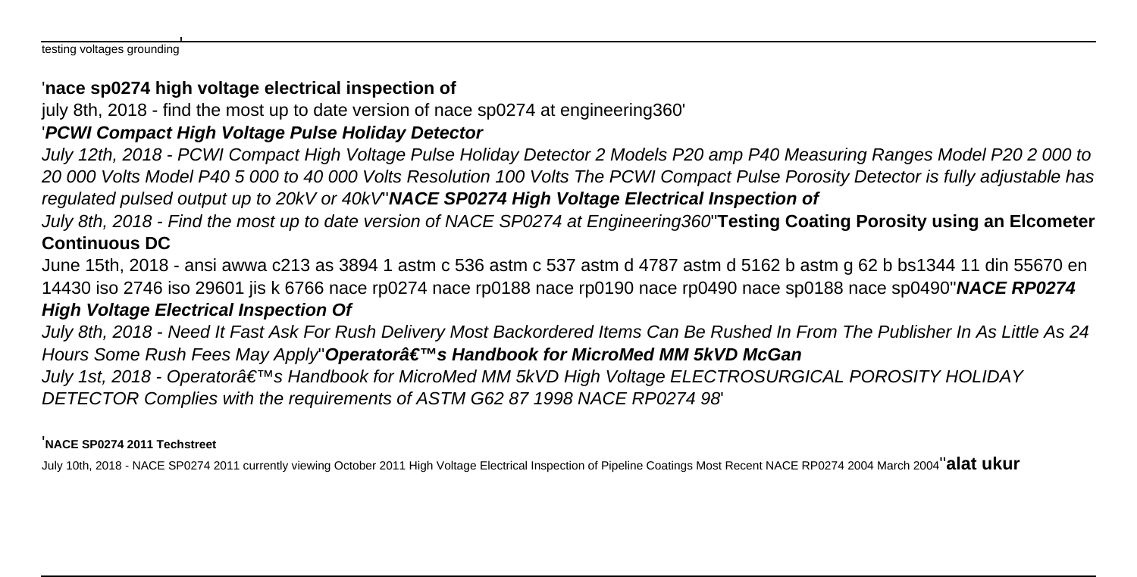testing voltages grounding'

### '**nace sp0274 high voltage electrical inspection of**

july 8th, 2018 - find the most up to date version of nace sp0274 at engineering360'

# '**PCWI Compact High Voltage Pulse Holiday Detector**

July 12th, 2018 - PCWI Compact High Voltage Pulse Holiday Detector 2 Models P20 amp P40 Measuring Ranges Model P20 2 000 to 20 000 Volts Model P40 5 000 to 40 000 Volts Resolution 100 Volts The PCWI Compact Pulse Porosity Detector is fully adjustable has regulated pulsed output up to 20kV or 40kV''**NACE SP0274 High Voltage Electrical Inspection of**

July 8th, 2018 - Find the most up to date version of NACE SP0274 at Engineering360''**Testing Coating Porosity using an Elcometer Continuous DC**

June 15th, 2018 - ansi awwa c213 as 3894 1 astm c 536 astm c 537 astm d 4787 astm d 5162 b astm g 62 b bs1344 11 din 55670 en 14430 iso 2746 iso 29601 jis k 6766 nace rp0274 nace rp0188 nace rp0190 nace rp0490 nace sp0188 nace sp0490''**NACE RP0274 High Voltage Electrical Inspection Of**

July 8th, 2018 - Need It Fast Ask For Rush Delivery Most Backordered Items Can Be Rushed In From The Publisher In As Little As 24 Hours Some Rush Fees May Apply<sup></sup>'Operatora **€**™s Handbook for MicroMed MM 5kVD McGan

July 1st, 2018 - Operatorâ€<sup>™</sup>s Handbook for MicroMed MM 5kVD High Voltage ELECTROSURGICAL POROSITY HOLIDAY DETECTOR Complies with the requirements of ASTM G62 87 1998 NACE RP0274 98'

#### '**NACE SP0274 2011 Techstreet**

July 10th, 2018 - NACE SP0274 2011 currently viewing October 2011 High Voltage Electrical Inspection of Pipeline Coatings Most Recent NACE RP0274 2004 March 2004''**alat ukur**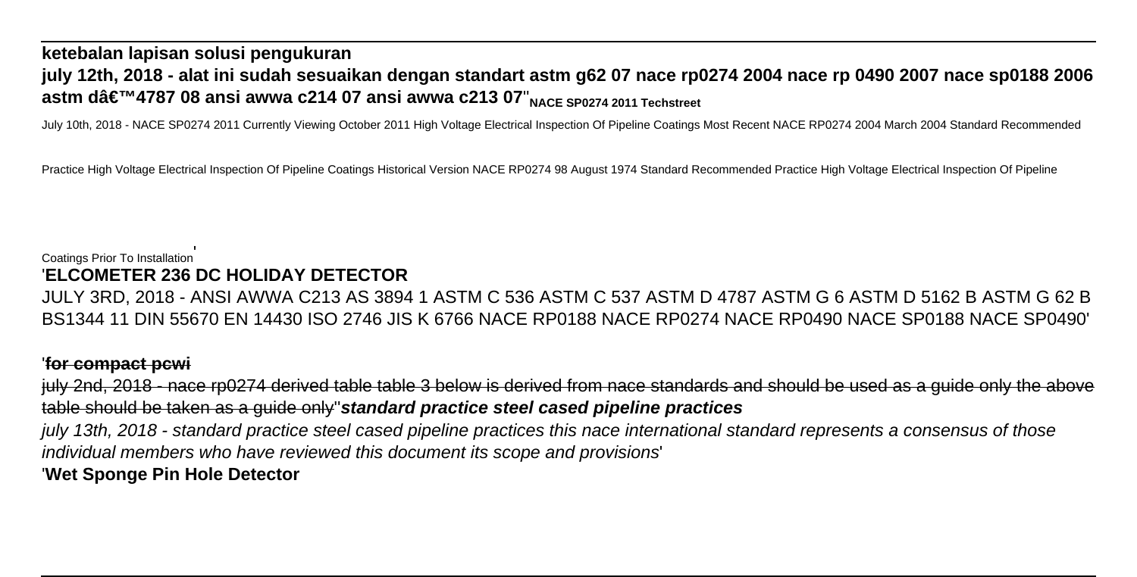## **ketebalan lapisan solusi pengukuran july 12th, 2018 - alat ini sudah sesuaikan dengan standart astm g62 07 nace rp0274 2004 nace rp 0490 2007 nace sp0188 2006 astm d'4787 08 ansi awwa c214 07 ansi awwa c213 07'**<sub>NACE SP0274 2011 Techstreet</sub>

July 10th, 2018 - NACE SP0274 2011 Currently Viewing October 2011 High Voltage Electrical Inspection Of Pipeline Coatings Most Recent NACE RP0274 2004 March 2004 Standard Recommended

Practice High Voltage Electrical Inspection Of Pipeline Coatings Historical Version NACE RP0274 98 August 1974 Standard Recommended Practice High Voltage Electrical Inspection Of Pipeline

#### Coatings Prior To Installation' '**ELCOMETER 236 DC HOLIDAY DETECTOR**

JULY 3RD, 2018 - ANSI AWWA C213 AS 3894 1 ASTM C 536 ASTM C 537 ASTM D 4787 ASTM G 6 ASTM D 5162 B ASTM G 62 B BS1344 11 DIN 55670 EN 14430 ISO 2746 JIS K 6766 NACE RP0188 NACE RP0274 NACE RP0490 NACE SP0188 NACE SP0490'

### '**for compact pcwi**

july 2nd, 2018 - nace rp0274 derived table table 3 below is derived from nace standards and should be used as a guide only the above table should be taken as a guide only''**standard practice steel cased pipeline practices** july 13th, 2018 - standard practice steel cased pipeline practices this nace international standard represents a consensus of those individual members who have reviewed this document its scope and provisions' '**Wet Sponge Pin Hole Detector**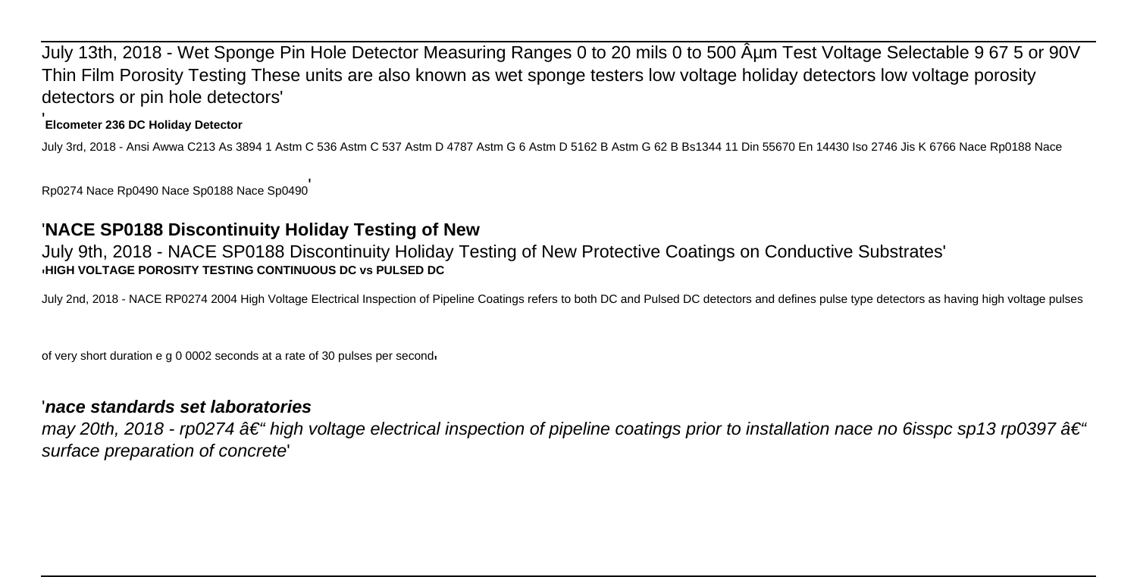July 13th, 2018 - Wet Sponge Pin Hole Detector Measuring Ranges 0 to 20 mils 0 to 500 Aum Test Voltage Selectable 9 67 5 or 90V Thin Film Porosity Testing These units are also known as wet sponge testers low voltage holiday detectors low voltage porosity detectors or pin hole detectors'

### '**Elcometer 236 DC Holiday Detector**

July 3rd, 2018 - Ansi Awwa C213 As 3894 1 Astm C 536 Astm C 537 Astm D 4787 Astm G 6 Astm D 5162 B Astm G 62 B Bs1344 11 Din 55670 En 14430 Iso 2746 Jis K 6766 Nace Rp0188 Nace

Rp0274 Nace Rp0490 Nace Sp0188 Nace Sp0490'

### '**NACE SP0188 Discontinuity Holiday Testing of New**

July 9th, 2018 - NACE SP0188 Discontinuity Holiday Testing of New Protective Coatings on Conductive Substrates' '**HIGH VOLTAGE POROSITY TESTING CONTINUOUS DC vs PULSED DC**

July 2nd, 2018 - NACE RP0274 2004 High Voltage Electrical Inspection of Pipeline Coatings refers to both DC and Pulsed DC detectors and defines pulse type detectors as having high voltage pulses

of very short duration e g 0 0002 seconds at a rate of 30 pulses per second'

### '**nace standards set laboratories**

may 20th, 2018 - rp0274  $\hat{a} \in \hat{a}$  high voltage electrical inspection of pipeline coatings prior to installation nace no 6isspc sp13 rp0397  $\hat{a} \in \hat{a}$ surface preparation of concrete'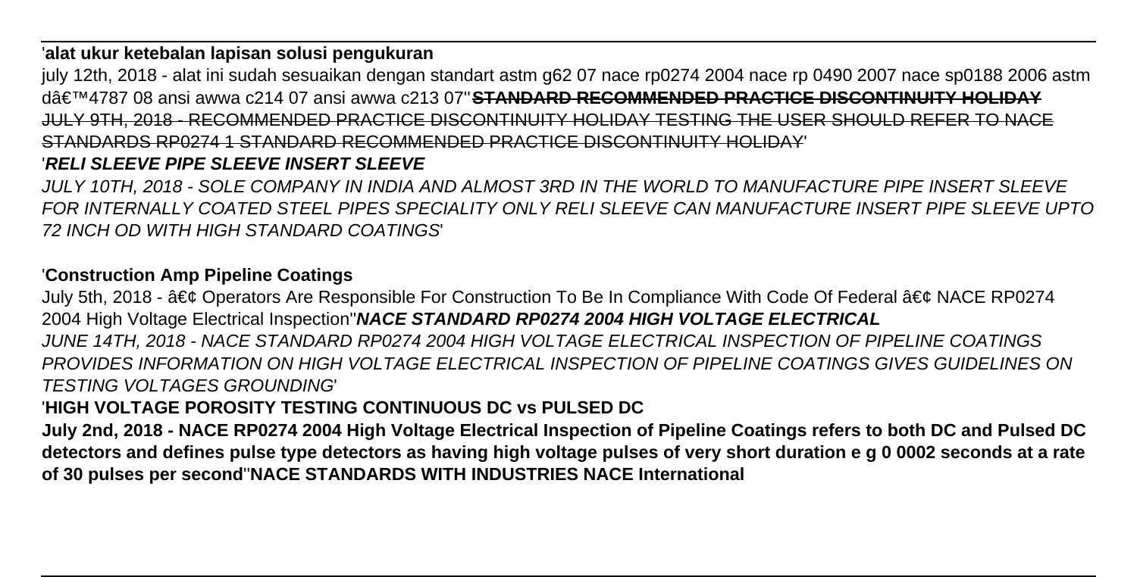### '**alat ukur ketebalan lapisan solusi pengukuran**

july 12th, 2018 - alat ini sudah sesuaikan dengan standart astm g62 07 nace rp0274 2004 nace rp 0490 2007 nace sp0188 2006 astm d'4787 08 ansi awwa c214 07 ansi awwa c213 07''**STANDARD RECOMMENDED PRACTICE DISCONTINUITY HOLIDAY** JULY 9TH, 2018 - RECOMMENDED PRACTICE DISCONTINUITY HOLIDAY TESTING THE USER SHOULD REFER TO NACE STANDARDS RP0274 1 STANDARD RECOMMENDED PRACTICE DISCONTINUITY HOLIDAY'

## '**RELI SLEEVE PIPE SLEEVE INSERT SLEEVE**

JULY 10TH, 2018 - SOLE COMPANY IN INDIA AND ALMOST 3RD IN THE WORLD TO MANUFACTURE PIPE INSERT SLEEVE FOR INTERNALLY COATED STEEL PIPES SPECIALITY ONLY RELI SLEEVE CAN MANUFACTURE INSERT PIPE SLEEVE UPTO 72 INCH OD WITH HIGH STANDARD COATINGS'

### '**Construction Amp Pipeline Coatings**

July 5th, 2018 - • Operators Are Responsible For Construction To Be In Compliance With Code Of Federal • NACE RP0274 2004 High Voltage Electrical Inspection''**NACE STANDARD RP0274 2004 HIGH VOLTAGE ELECTRICAL** JUNE 14TH, 2018 - NACE STANDARD RP0274 2004 HIGH VOLTAGE ELECTRICAL INSPECTION OF PIPELINE COATINGS

PROVIDES INFORMATION ON HIGH VOLTAGE ELECTRICAL INSPECTION OF PIPELINE COATINGS GIVES GUIDELINES ON TESTING VOLTAGES GROUNDING'

## '**HIGH VOLTAGE POROSITY TESTING CONTINUOUS DC vs PULSED DC**

**July 2nd, 2018 - NACE RP0274 2004 High Voltage Electrical Inspection of Pipeline Coatings refers to both DC and Pulsed DC detectors and defines pulse type detectors as having high voltage pulses of very short duration e g 0 0002 seconds at a rate of 30 pulses per second**''**NACE STANDARDS WITH INDUSTRIES NACE International**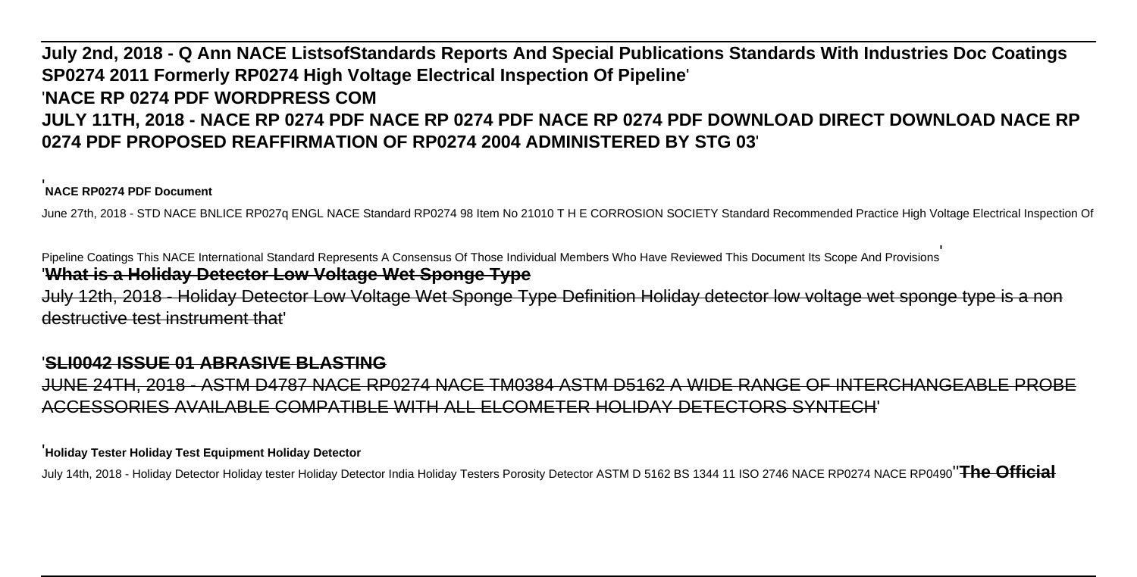# **July 2nd, 2018 - Q Ann NACE ListsofStandards Reports And Special Publications Standards With Industries Doc Coatings SP0274 2011 Formerly RP0274 High Voltage Electrical Inspection Of Pipeline**' '**NACE RP 0274 PDF WORDPRESS COM JULY 11TH, 2018 - NACE RP 0274 PDF NACE RP 0274 PDF NACE RP 0274 PDF DOWNLOAD DIRECT DOWNLOAD NACE RP 0274 PDF PROPOSED REAFFIRMATION OF RP0274 2004 ADMINISTERED BY STG 03**'

#### '**NACE RP0274 PDF Document**

June 27th, 2018 - STD NACE BNLICE RP027q ENGL NACE Standard RP0274 98 Item No 21010 T H E CORROSION SOCIETY Standard Recommended Practice High Voltage Electrical Inspection Of

Pipeline Coatings This NACE International Standard Represents A Consensus Of Those Individual Members Who Have Reviewed This Document Its Scope And Provisions' '**What is a Holiday Detector Low Voltage Wet Sponge Type**

July 12th, 2018 - Holiday Detector Low Voltage Wet Sponge Type Definition Holiday detector low voltage wet sponge type is a non destructive test instrument that'

#### '**SLI0042 ISSUE 01 ABRASIVE BLASTING**

JUNE 24TH, 2018 - ASTM D4787 NACE RP0274 NACE TM0384 ASTM D5162 A WIDE RANGE OF INTERCHANGEABLE PROBE ACCESSORIES AVAILABLE COMPATIBLE WITH ALL ELCOMETER HOLIDAY DETECTORS SYNTECH'

#### '**Holiday Tester Holiday Test Equipment Holiday Detector**

July 14th, 2018 - Holiday Detector Holiday tester Holiday Detector India Holiday Testers Porosity Detector ASTM D 5162 BS 1344 11 ISO 2746 NACE RP0274 NACE RP0490''**The Official**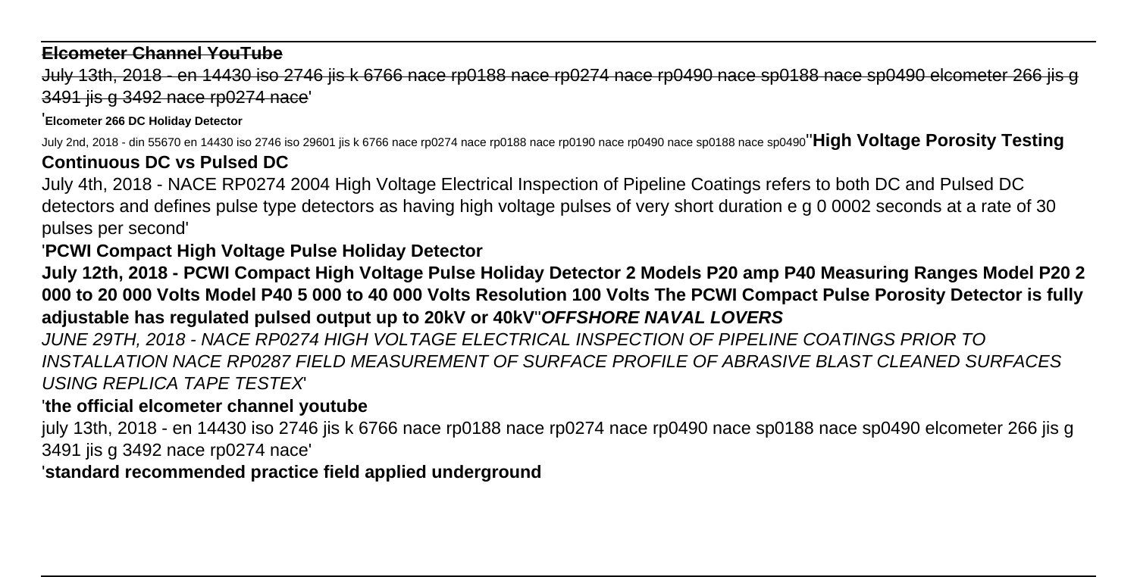#### **Elcometer Channel YouTube**

July 13th, 2018 - en 14430 iso 2746 jis k 6766 nace rp0188 nace rp0274 nace rp0490 nace sp0188 nace sp0490 elcometer 266 jis g 3491 jis g 3492 nace rp0274 nace'

'**Elcometer 266 DC Holiday Detector**

July 2nd, 2018 - din 55670 en 14430 iso 2746 iso 29601 jis k 6766 nace rp0274 nace rp0188 nace rp0190 nace rp0490 nace sp0188 nace sp0490''**High Voltage Porosity Testing**

# **Continuous DC vs Pulsed DC**

July 4th, 2018 - NACE RP0274 2004 High Voltage Electrical Inspection of Pipeline Coatings refers to both DC and Pulsed DC detectors and defines pulse type detectors as having high voltage pulses of very short duration e g 0 0002 seconds at a rate of 30 pulses per second'

## '**PCWI Compact High Voltage Pulse Holiday Detector**

**July 12th, 2018 - PCWI Compact High Voltage Pulse Holiday Detector 2 Models P20 amp P40 Measuring Ranges Model P20 2 000 to 20 000 Volts Model P40 5 000 to 40 000 Volts Resolution 100 Volts The PCWI Compact Pulse Porosity Detector is fully adjustable has regulated pulsed output up to 20kV or 40kV**''**OFFSHORE NAVAL LOVERS**

JUNE 29TH, 2018 - NACE RP0274 HIGH VOLTAGE ELECTRICAL INSPECTION OF PIPELINE COATINGS PRIOR TO INSTALLATION NACE RP0287 FIELD MEASUREMENT OF SURFACE PROFILE OF ABRASIVE BLAST CLEANED SURFACES USING REPLICA TAPE TESTEX'

## '**the official elcometer channel youtube**

july 13th, 2018 - en 14430 iso 2746 jis k 6766 nace rp0188 nace rp0274 nace rp0490 nace sp0188 nace sp0490 elcometer 266 jis g 3491 jis g 3492 nace rp0274 nace'

'**standard recommended practice field applied underground**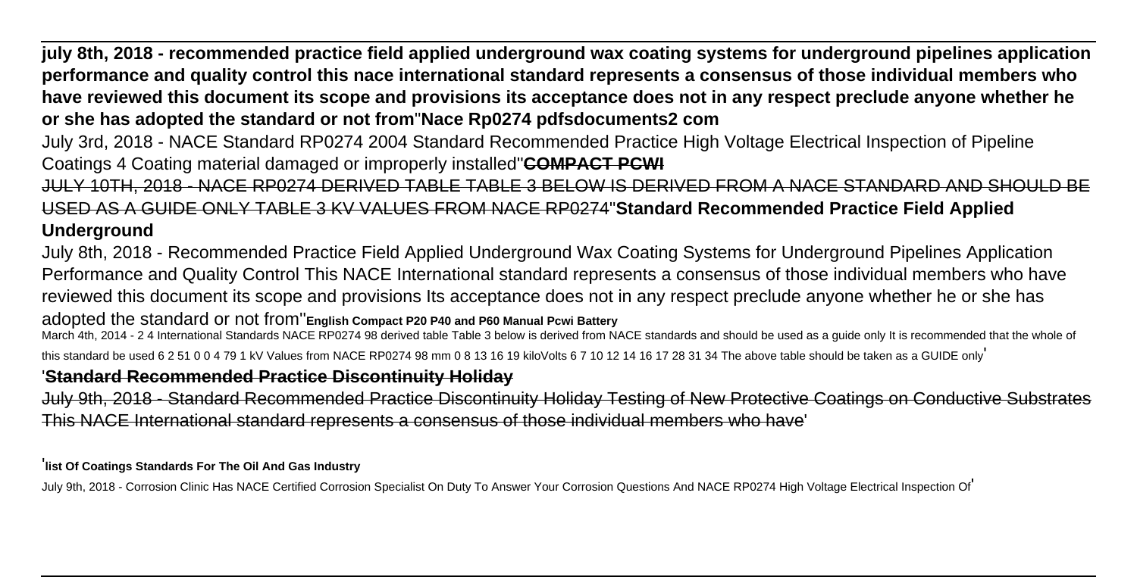**july 8th, 2018 - recommended practice field applied underground wax coating systems for underground pipelines application performance and quality control this nace international standard represents a consensus of those individual members who have reviewed this document its scope and provisions its acceptance does not in any respect preclude anyone whether he or she has adopted the standard or not from**''**Nace Rp0274 pdfsdocuments2 com**

July 3rd, 2018 - NACE Standard RP0274 2004 Standard Recommended Practice High Voltage Electrical Inspection of Pipeline Coatings 4 Coating material damaged or improperly installed''**COMPACT PCWI**

JULY 10TH, 2018 - NACE RP0274 DERIVED TABLE TABLE 3 BELOW IS DERIVED FROM A NACE STANDARD AND SHOULD BE USED AS A GUIDE ONLY TABLE 3 KV VALUES FROM NACE RP0274''**Standard Recommended Practice Field Applied Underground**

July 8th, 2018 - Recommended Practice Field Applied Underground Wax Coating Systems for Underground Pipelines Application Performance and Quality Control This NACE International standard represents a consensus of those individual members who have reviewed this document its scope and provisions Its acceptance does not in any respect preclude anyone whether he or she has adopted the standard or not from''**English Compact P20 P40 and P60 Manual Pcwi Battery**

March 4th, 2014 - 2 4 International Standards NACE RP0274 98 derived table Table 3 below is derived from NACE standards and should be used as a guide only It is recommended that the whole of this standard be used 6 2 51 0 0 4 79 1 kV Values from NACE RP0274 98 mm 0 8 13 16 19 kiloVolts 6 7 10 12 14 16 17 28 31 34 The above table should be taken as a GUIDE only

### '**Standard Recommended Practice Discontinuity Holiday**

July 9th, 2018 - Standard Recommended Practice Discontinuity Holiday Testing of New Protective Coatings on Conductive Subsi This NACE International standard represents a consensus of those individual members who have'

'**list Of Coatings Standards For The Oil And Gas Industry**

July 9th, 2018 - Corrosion Clinic Has NACE Certified Corrosion Specialist On Duty To Answer Your Corrosion Questions And NACE RP0274 High Voltage Electrical Inspection Of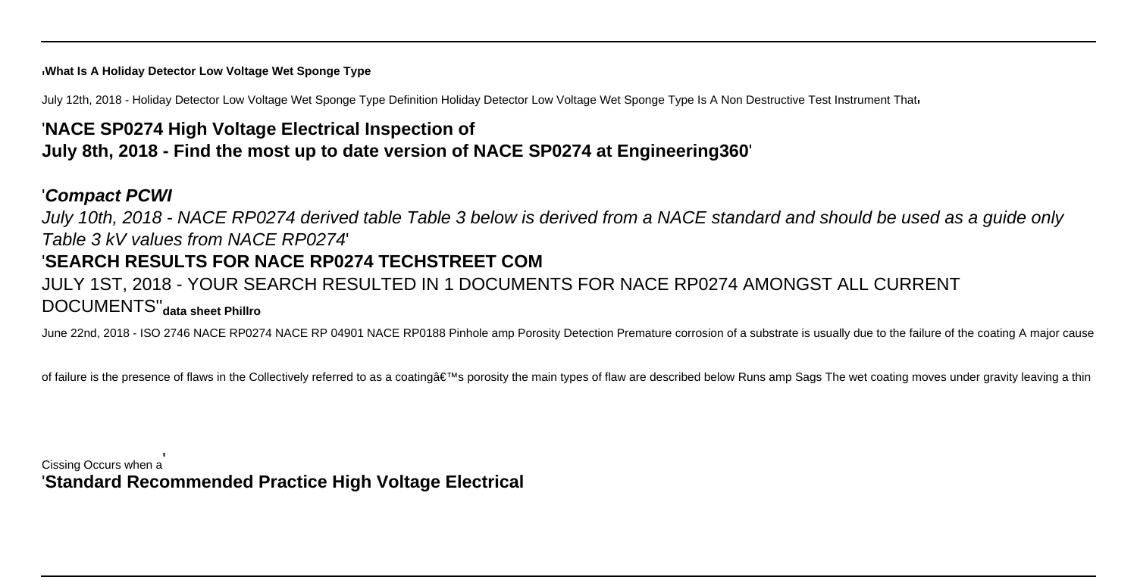#### '**What Is A Holiday Detector Low Voltage Wet Sponge Type**

July 12th, 2018 - Holiday Detector Low Voltage Wet Sponge Type Definition Holiday Detector Low Voltage Wet Sponge Type Is A Non Destructive Test Instrument Thati

# '**NACE SP0274 High Voltage Electrical Inspection of July 8th, 2018 - Find the most up to date version of NACE SP0274 at Engineering360**'

#### '**Compact PCWI**

July 10th, 2018 - NACE RP0274 derived table Table 3 below is derived from a NACE standard and should be used as a guide only Table 3 kV values from NACE RP0274'

### '**SEARCH RESULTS FOR NACE RP0274 TECHSTREET COM**

# JULY 1ST, 2018 - YOUR SEARCH RESULTED IN 1 DOCUMENTS FOR NACE RP0274 AMONGST ALL CURRENT DOCUMENTS''**data sheet Phillro**

June 22nd, 2018 - ISO 2746 NACE RP0274 NACE RP 04901 NACE RP0188 Pinhole amp Porosity Detection Premature corrosion of a substrate is usually due to the failure of the coating A major cause

of failure is the presence of flaws in the Collectively referred to as a coating's porosity the main types of flaw are described below Runs amp Sags The wet coating moves under gravity leaving a thin

Cissing Occurs when a' '**Standard Recommended Practice High Voltage Electrical**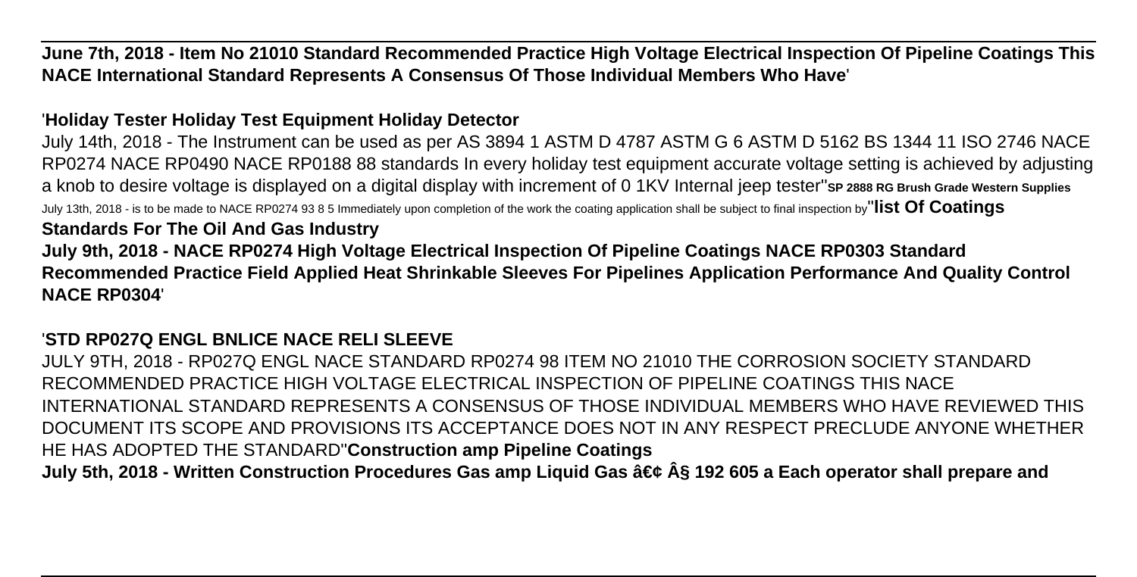**June 7th, 2018 - Item No 21010 Standard Recommended Practice High Voltage Electrical Inspection Of Pipeline Coatings This NACE International Standard Represents A Consensus Of Those Individual Members Who Have**'

### '**Holiday Tester Holiday Test Equipment Holiday Detector**

July 14th, 2018 - The Instrument can be used as per AS 3894 1 ASTM D 4787 ASTM G 6 ASTM D 5162 BS 1344 11 ISO 2746 NACE RP0274 NACE RP0490 NACE RP0188 88 standards In every holiday test equipment accurate voltage setting is achieved by adjusting a knob to desire voltage is displayed on a digital display with increment of 0 1KV Internal jeep tester''**SP 2888 RG Brush Grade Western Supplies** July 13th, 2018 - is to be made to NACE RP0274 93 8 5 Immediately upon completion of the work the coating application shall be subject to final inspection by''**list Of Coatings**

### **Standards For The Oil And Gas Industry**

**July 9th, 2018 - NACE RP0274 High Voltage Electrical Inspection Of Pipeline Coatings NACE RP0303 Standard Recommended Practice Field Applied Heat Shrinkable Sleeves For Pipelines Application Performance And Quality Control NACE RP0304**'

### '**STD RP027Q ENGL BNLICE NACE RELI SLEEVE**

JULY 9TH, 2018 - RP027Q ENGL NACE STANDARD RP0274 98 ITEM NO 21010 THE CORROSION SOCIETY STANDARD RECOMMENDED PRACTICE HIGH VOLTAGE ELECTRICAL INSPECTION OF PIPELINE COATINGS THIS NACE INTERNATIONAL STANDARD REPRESENTS A CONSENSUS OF THOSE INDIVIDUAL MEMBERS WHO HAVE REVIEWED THIS DOCUMENT ITS SCOPE AND PROVISIONS ITS ACCEPTANCE DOES NOT IN ANY RESPECT PRECLUDE ANYONE WHETHER HE HAS ADOPTED THE STANDARD''**Construction amp Pipeline Coatings July 5th, 2018 - Written Construction Procedures Gas amp Liquid Gas • § 192 605 a Each operator shall prepare and**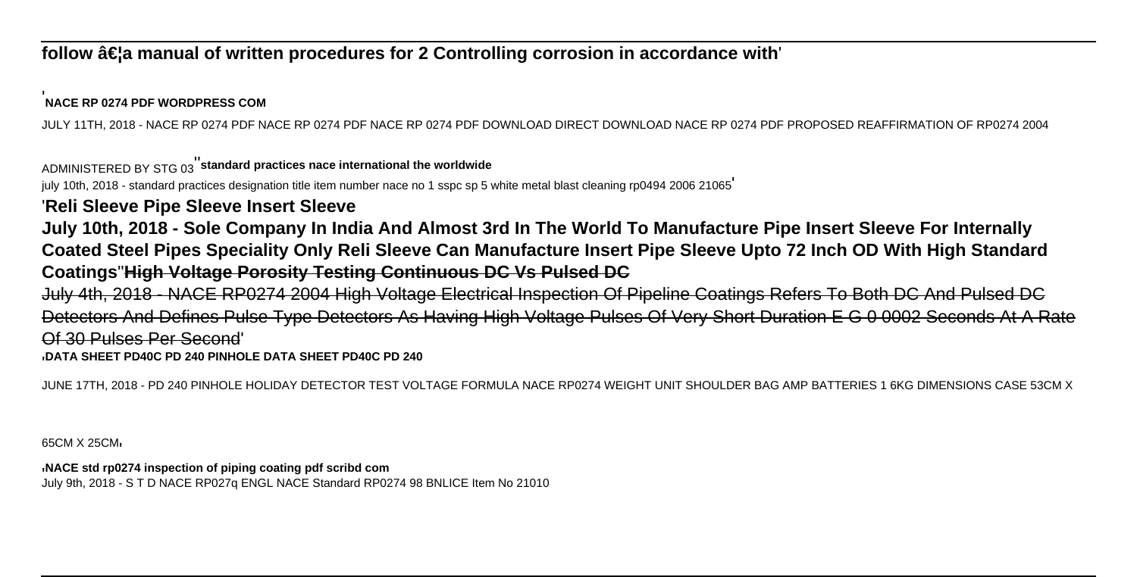### follow …a manual of written procedures for 2 Controlling corrosion in accordance with

#### '**NACE RP 0274 PDF WORDPRESS COM**

JULY 11TH, 2018 - NACE RP 0274 PDF NACE RP 0274 PDF NACE RP 0274 PDF DOWNLOAD DIRECT DOWNLOAD NACE RP 0274 PDF PROPOSED REAFFIRMATION OF RP0274 2004

#### ADMINISTERED BY STG 03''**standard practices nace international the worldwide**

july 10th, 2018 - standard practices designation title item number nace no 1 sspc sp 5 white metal blast cleaning rp0494 2006 21065'

### '**Reli Sleeve Pipe Sleeve Insert Sleeve**

**July 10th, 2018 - Sole Company In India And Almost 3rd In The World To Manufacture Pipe Insert Sleeve For Internally Coated Steel Pipes Speciality Only Reli Sleeve Can Manufacture Insert Pipe Sleeve Upto 72 Inch OD With High Standard Coatings**''**High Voltage Porosity Testing Continuous DC Vs Pulsed DC**

July 4th, 2018 - NACE RP0274 2004 High Voltage Electrical Inspection Of Pipeline Coatings Refers To Both DC And Pulsed DC Detectors And Defines Pulse Type Detectors As Having High Voltage Pulses Of Very Short Duration E G 0 0002 Seconds At A Rate Of 30 Pulses Per Second'

#### '**DATA SHEET PD40C PD 240 PINHOLE DATA SHEET PD40C PD 240**

JUNE 17TH, 2018 - PD 240 PINHOLE HOLIDAY DETECTOR TEST VOLTAGE FORMULA NACE RP0274 WEIGHT UNIT SHOULDER BAG AMP BATTERIES 1 6KG DIMENSIONS CASE 53CM X

65CM X 25CM'

### '**NACE std rp0274 inspection of piping coating pdf scribd com**

July 9th, 2018 - S T D NACE RP027q ENGL NACE Standard RP0274 98 BNLICE Item No 21010